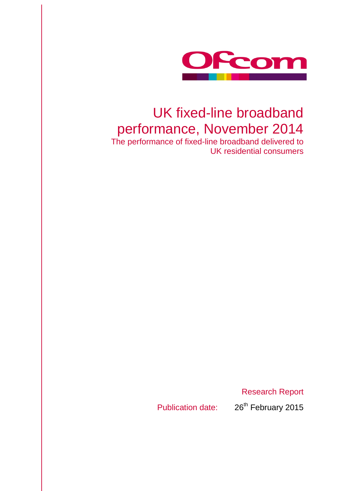

# UK fixed-line broadband performance, November 2014

The performance of fixed-line broadband delivered to UK residential consumers

Research Report

Publication date: 26<sup>th</sup> February 2015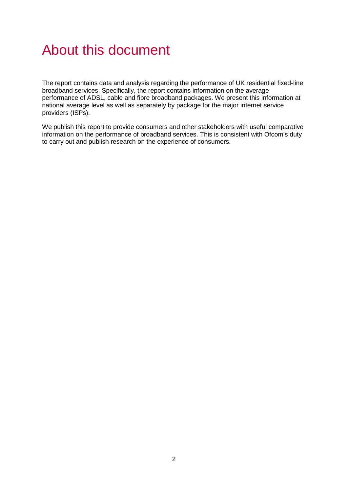# About this document

The report contains data and analysis regarding the performance of UK residential fixed-line broadband services. Specifically, the report contains information on the average performance of ADSL, cable and fibre broadband packages. We present this information at national average level as well as separately by package for the major internet service providers (ISPs).

We publish this report to provide consumers and other stakeholders with useful comparative information on the performance of broadband services. This is consistent with Ofcom's duty to carry out and publish research on the experience of consumers.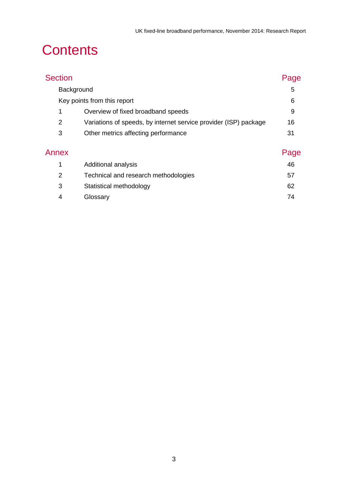# **Contents**

| <b>Section</b> |                                                                  | Page |
|----------------|------------------------------------------------------------------|------|
|                | Background                                                       | 5    |
|                | Key points from this report                                      | 6    |
| 1              | Overview of fixed broadband speeds                               | 9    |
| 2              | Variations of speeds, by internet service provider (ISP) package | 16   |
| 3              | Other metrics affecting performance                              | 31   |
| Annex          |                                                                  | Page |
| 1              | Additional analysis                                              | 46   |
| 2              | Technical and research methodologies                             | 57   |
| 3              | Statistical methodology                                          | 62   |
| 4              | Glossary                                                         | 74   |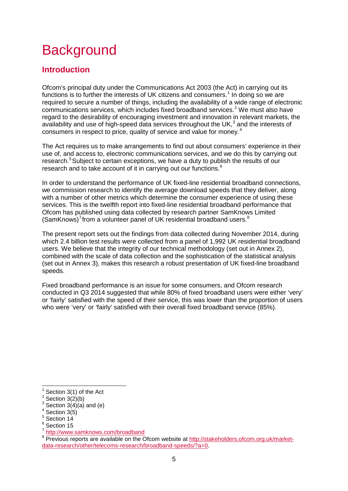# <span id="page-5-0"></span>**Background**

# **Introduction**

Ofcom's principal duty under the Communications Act 2003 (the Act) in carrying out its functions is to further the interests of UK citizens and consumers.<sup>[1](#page-5-1)</sup> In doing so we are required to secure a number of things, including the availability of a wide range of electronic communications services, which includes fixed broadband services.[2](#page-5-2) We must also have regard to the desirability of encouraging investment and innovation in relevant markets, the availability and use of high-speed data services throughout the UK, $^3$  $^3$  and the interests of consumers in respect to price, quality of service and value for money.[4](#page-5-4)

The Act requires us to make arrangements to find out about consumers' experience in their use of, and access to, electronic communications services, and we do this by carrying out research.<sup>[5](#page-5-5)</sup> Subject to certain exceptions, we have a duty to publish the results of our research and to take account of it in carrying out our functions.<sup>[6](#page-5-6)</sup>

In order to understand the performance of UK fixed-line residential broadband connections, we commission research to identify the average download speeds that they deliver, along with a number of other metrics which determine the consumer experience of using these services. This is the twelfth report into fixed-line residential broadband performance that Ofcom has published using data collected by research partner SamKnows Limited  $(SamKnows)<sup>7</sup>$  $(SamKnows)<sup>7</sup>$  $(SamKnows)<sup>7</sup>$  from a volunteer panel of UK residential broadband users. $8$ 

The present report sets out the findings from data collected during November 2014, during which 2.4 billion test results were collected from a panel of 1,992 UK residential broadband users. We believe that the integrity of our technical methodology (set out in Annex 2), combined with the scale of data collection and the sophistication of the statistical analysis (set out in Annex 3), makes this research a robust presentation of UK fixed-line broadband speeds.

Fixed broadband performance is an issue for some consumers, and Ofcom research conducted in Q3 2014 suggested that while 80% of fixed broadband users were either 'very' or 'fairly' satisfied with the speed of their service, this was lower than the proportion of users who were 'very' or 'fairly' satisfied with their overall fixed broadband service (85%).

Section 3(1) of the Act  $\overline{a}$ 

<span id="page-5-2"></span><span id="page-5-1"></span> $2$  Section 3(2)(b)

<span id="page-5-3"></span> $3$  Section 3(4)(a) and (e)

<span id="page-5-4"></span> $4$  Section 3(5)

<span id="page-5-5"></span><sup>5</sup> Section 14

<sup>&</sup>lt;sup>6</sup> Section 15

<span id="page-5-7"></span><span id="page-5-6"></span><sup>7</sup> <http://www.samknows.com/broadband>

<span id="page-5-8"></span><sup>&</sup>lt;sup>8</sup> Previous reports are available on the Ofcom website at [http://stakeholders.ofcom.org.uk/market](http://stakeholders.ofcom.org.uk/market-data-research/other/telecoms-research/broadband-speeds/?a=0)[data-research/other/telecoms-research/broadband-speeds/?a=0.](http://stakeholders.ofcom.org.uk/market-data-research/other/telecoms-research/broadband-speeds/?a=0)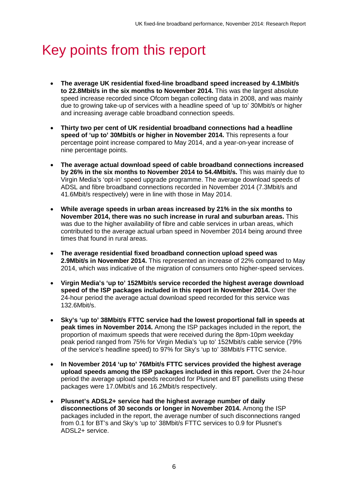# <span id="page-6-0"></span>Key points from this report

- **The average UK residential fixed-line broadband speed increased by 4.1Mbit/s to 22.8Mbit/s in the six months to November 2014.** This was the largest absolute speed increase recorded since Ofcom began collecting data in 2008, and was mainly due to growing take-up of services with a headline speed of 'up to' 30Mbit/s or higher and increasing average cable broadband connection speeds.
- **Thirty two per cent of UK residential broadband connections had a headline speed of 'up to' 30Mbit/s or higher in November 2014.** This represents a four percentage point increase compared to May 2014, and a year-on-year increase of nine percentage points.
- **The average actual download speed of cable broadband connections increased by 26% in the six months to November 2014 to 54.4Mbit/s.** This was mainly due to Virgin Media's 'opt-in' speed upgrade programme. The average download speeds of ADSL and fibre broadband connections recorded in November 2014 (7.3Mbit/s and 41.6Mbit/s respectively) were in line with those in May 2014.
- **While average speeds in urban areas increased by 21% in the six months to November 2014, there was no such increase in rural and suburban areas.** This was due to the higher availability of fibre and cable services in urban areas, which contributed to the average actual urban speed in November 2014 being around three times that found in rural areas.
- **The average residential fixed broadband connection upload speed was 2.9Mbit/s in November 2014.** This represented an increase of 22% compared to May 2014, which was indicative of the migration of consumers onto higher-speed services.
- **Virgin Media's 'up to' 152Mbit/s service recorded the highest average download speed of the ISP packages included in this report in November 2014.** Over the 24-hour period the average actual download speed recorded for this service was 132.6Mbit/s.
- **Sky's 'up to' 38Mbit/s FTTC service had the lowest proportional fall in speeds at peak times in November 2014.** Among the ISP packages included in the report, the proportion of maximum speeds that were received during the 8pm-10pm weekday peak period ranged from 75% for Virgin Media's 'up to' 152Mbit/s cable service (79% of the service's headline speed) to 97% for Sky's 'up to' 38Mbit/s FTTC service.
- **In November 2014 'up to' 76Mbit/s FTTC services provided the highest average upload speeds among the ISP packages included in this report.** Over the 24-hour period the average upload speeds recorded for Plusnet and BT panellists using these packages were 17.0Mbit/s and 16.2Mbit/s respectively.
- **Plusnet's ADSL2+ service had the highest average number of daily disconnections of 30 seconds or longer in November 2014.** Among the ISP packages included in the report, the average number of such disconnections ranged from 0.1 for BT's and Sky's 'up to' 38Mbit/s FTTC services to 0.9 for Plusnet's ADSL2+ service.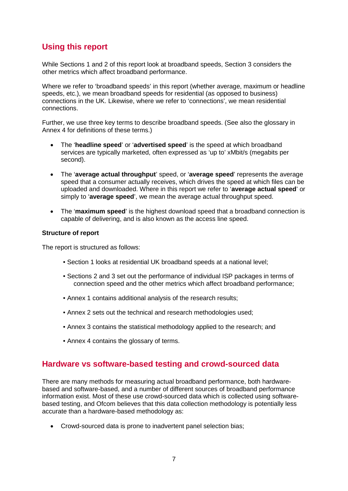# **Using this report**

While Sections 1 and 2 of this report look at broadband speeds, Section 3 considers the other metrics which affect broadband performance.

Where we refer to 'broadband speeds' in this report (whether average, maximum or headline speeds, etc.), we mean broadband speeds for residential (as opposed to business) connections in the UK. Likewise, where we refer to 'connections', we mean residential connections.

Further, we use three key terms to describe broadband speeds. (See also the glossary in Annex 4 for definitions of these terms.)

- The '**headline speed**' or '**advertised speed**' is the speed at which broadband services are typically marketed, often expressed as 'up to' xMbit/s (megabits per second).
- The '**average actual throughput**' speed, or '**average speed**' represents the average speed that a consumer actually receives, which drives the speed at which files can be uploaded and downloaded. Where in this report we refer to '**average actual speed**' or simply to '**average speed**', we mean the average actual throughput speed.
- The '**maximum speed**' is the highest download speed that a broadband connection is capable of delivering, and is also known as the access line speed.

### **Structure of report**

The report is structured as follows:

- Section 1 looks at residential UK broadband speeds at a national level;
- Sections 2 and 3 set out the performance of individual ISP packages in terms of connection speed and the other metrics which affect broadband performance;
- Annex 1 contains additional analysis of the research results;
- Annex 2 sets out the technical and research methodologies used;
- Annex 3 contains the statistical methodology applied to the research; and
- Annex 4 contains the glossary of terms.

## **Hardware vs software-based testing and crowd-sourced data**

There are many methods for measuring actual broadband performance, both hardwarebased and software-based, and a number of different sources of broadband performance information exist. Most of these use crowd-sourced data which is collected using softwarebased testing, and Ofcom believes that this data collection methodology is potentially less accurate than a hardware-based methodology as:

• Crowd-sourced data is prone to inadvertent panel selection bias;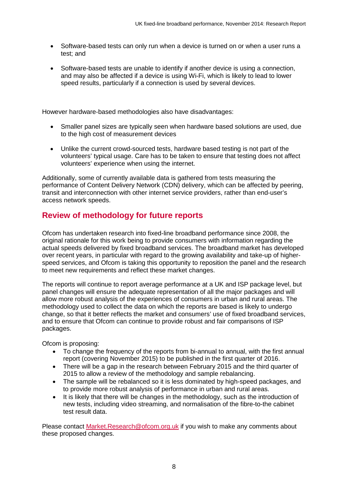- Software-based tests can only run when a device is turned on or when a user runs a test; and
- Software-based tests are unable to identify if another device is using a connection, and may also be affected if a device is using Wi-Fi, which is likely to lead to lower speed results, particularly if a connection is used by several devices.

However hardware-based methodologies also have disadvantages:

- Smaller panel sizes are typically seen when hardware based solutions are used, due to the high cost of measurement devices
- Unlike the current crowd-sourced tests, hardware based testing is not part of the volunteers' typical usage. Care has to be taken to ensure that testing does not affect volunteers' experience when using the internet.

Additionally, some of currently available data is gathered from tests measuring the performance of Content Delivery Network (CDN) delivery, which can be affected by peering, transit and interconnection with other internet service providers, rather than end-user's access network speeds.

# **Review of methodology for future reports**

Ofcom has undertaken research into fixed-line broadband performance since 2008, the original rationale for this work being to provide consumers with information regarding the actual speeds delivered by fixed broadband services. The broadband market has developed over recent years, in particular with regard to the growing availability and take-up of higherspeed services, and Ofcom is taking this opportunity to reposition the panel and the research to meet new requirements and reflect these market changes.

The reports will continue to report average performance at a UK and ISP package level, but panel changes will ensure the adequate representation of all the major packages and will allow more robust analysis of the experiences of consumers in urban and rural areas. The methodology used to collect the data on which the reports are based is likely to undergo change, so that it better reflects the market and consumers' use of fixed broadband services, and to ensure that Ofcom can continue to provide robust and fair comparisons of ISP packages.

Ofcom is proposing:

- To change the frequency of the reports from bi-annual to annual, with the first annual report (covering November 2015) to be published in the first quarter of 2016.
- There will be a gap in the research between February 2015 and the third quarter of 2015 to allow a review of the methodology and sample rebalancing.
- The sample will be rebalanced so it is less dominated by high-speed packages, and to provide more robust analysis of performance in urban and rural areas.
- It is likely that there will be changes in the methodology, such as the introduction of new tests, including video streaming, and normalisation of the fibre-to-the cabinet test result data.

Please contact [Market.Research@ofcom.org.uk](mailto:Market.Research@ofcom.org.uk) if you wish to make any comments about these proposed changes.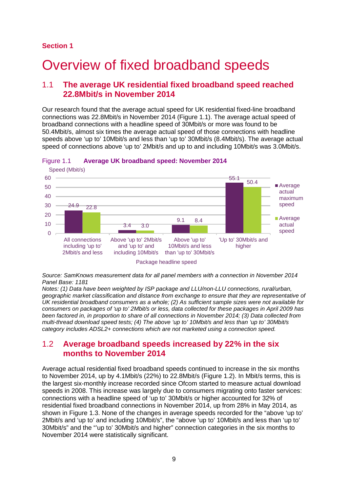### **Section 1**

# <span id="page-9-0"></span>Overview of fixed broadband speeds

## 1.1 **The average UK residential fixed broadband speed reached 22.8Mbit/s in November 2014**

Our research found that the average actual speed for UK residential fixed-line broadband connections was 22.8Mbit/s in November 2014 [\(Figure 1.1\)](#page-9-1). The average actual speed of broadband connections with a headline speed of 30Mbit/s or more was found to be 50.4Mbit/s, almost six times the average actual speed of those connections with headline speeds above 'up to' 10Mbit/s and less than 'up to' 30Mbit/s (8.4Mbit/s). The average actual speed of connections above 'up to' 2Mbit/s and up to and including 10Mbit/s was 3.0Mbit/s.



#### <span id="page-9-1"></span>Figure 1.1 **Average UK broadband speed: November 2014**

*Source: SamKnows measurement data for all panel members with a connection in November 2014 Panel Base: 1181*

*Notes: (1) Data have been weighted by ISP package and LLU/non-LLU connections, rural/urban, geographic market classification and distance from exchange to ensure that they are representative of UK residential broadband consumers as a whole; (2) As sufficient sample sizes were not available for consumers on packages of 'up to' 2Mbit/s or less, data collected for these packages in April 2009 has been factored in, in proportion to share of all connections in November 2014; (3) Data collected from multi-thread download speed tests; (4) The above 'up to' 10Mbit/s and less than 'up to' 30Mbit/s category includes ADSL2+ connections which are not marketed using a connection speed.*

## 1.2 **Average broadband speeds increased by 22% in the six months to November 2014**

Average actual residential fixed broadband speeds continued to increase in the six months to November 2014, up by 4.1Mbit/s (22%) to 22.8Mbit/s [\(Figure 1.2\)](#page-10-0). In Mbit/s terms, this is the largest six-monthly increase recorded since Ofcom started to measure actual download speeds in 2008. This increase was largely due to consumers migrating onto faster services: connections with a headline speed of 'up to' 30Mbit/s or higher accounted for 32% of residential fixed broadband connections in November 2014, up from 28% in May 2014, as shown in [Figure 1.3.](#page-11-0) None of the changes in average speeds recorded for the "above 'up to' 2Mbit/s and 'up to' and including 10Mbit/s", the "above 'up to' 10Mbit/s and less than 'up to' 30Mbit/s" and the "'up to' 30Mbit/s and higher" connection categories in the six months to November 2014 were statistically significant.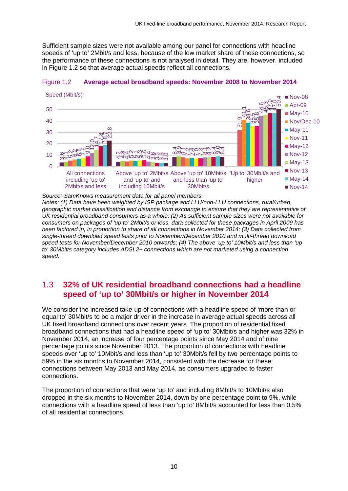Sufficient sample sizes were not available among our panel for connections with headline speeds of 'up to' 2Mbit/s and less, because of the low market share of these connections, so the performance of these connections is not analysed in detail. They are, however, included in [Figure 1.2](#page-10-0) so that average actual speeds reflect all connections.

<span id="page-10-0"></span>

Speed (Mbit/s)



*Source: SamKnows measurement data for all panel members*

*Notes: (1) Data have been weighted by ISP package and LLU/non-LLU connections, rural/urban, geographic market classification and distance from exchange to ensure that they are representative of UK residential broadband consumers as a whole; (2) As sufficient sample sizes were not available for consumers on packages of 'up to' 2Mbit/s or less, data collected for these packages in April 2009 has been factored in, in proportion to share of all connections in November 2014; (3) Data collected from single-thread download speed tests prior to November/December 2010 and multi-thread download speed tests for November/December 2010 onwards; (4) The above 'up to' 10Mbit/s and less than 'up to' 30Mbit/s category includes ADSL2+ connections which are not marketed using a connection speed.*

# 1.3 **32% of UK residential broadband connections had a headline speed of 'up to' 30Mbit/s or higher in November 2014**

We consider the increased take-up of connections with a headline speed of 'more than or equal to' 30Mbit/s to be a major driver in the increase in average actual speeds across all UK fixed broadband connections over recent years. The proportion of residential fixed broadband connections that had a headline speed of 'up to' 30Mbit/s and higher was 32% in November 2014, an increase of four percentage points since May 2014 and of nine percentage points since November 2013. The proportion of connections with headline speeds over 'up to' 10Mbit/s and less than 'up to' 30Mbit/s fell by two percentage points to 59% in the six months to November 2014, consistent with the decrease for these connections between May 2013 and May 2014, as consumers upgraded to faster connections. 10  $\frac{G-V}{\sqrt{1+\frac{1}{2}}}\sqrt{\frac{1}{2+\frac{1}{2}}\sqrt{\frac{1}{2+\frac{1}{2}}\sqrt{\frac{1}{2+\frac{1}{2}}\sqrt{\frac{1}{2+\frac{1}{2}}\sqrt{\frac{1}{2+\frac{1}{2}}\sqrt{\frac{1}{2+\frac{1}{2}}\sqrt{\frac{1}{2+\frac{1}{2}}\sqrt{\frac{1}{2+\frac{1}{2}}\sqrt{\frac{1}{2}}\sqrt{\frac{1}{2}}\sqrt{\frac{1}{2+\frac{1}{2}}\sqrt{\frac{1}{2}}\sqrt{\frac{1}{2}}\sqrt{\frac{1}{2+\frac{1}{2}}\sqrt{\frac{1}{2}}\sqrt{\frac{$ 

The proportion of connections that were 'up to' and including 8Mbit/s to 10Mbit/s also dropped in the six months to November 2014, down by one percentage point to 9%, while connections with a headline speed of less than 'up to' 8Mbit/s accounted for less than 0.5%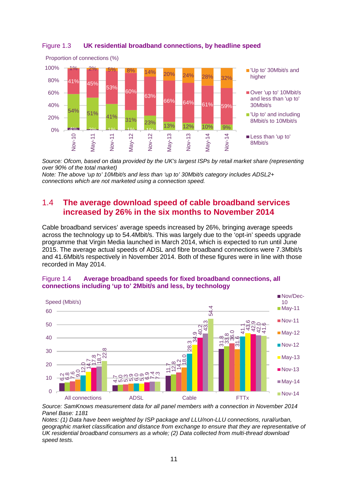

<span id="page-11-0"></span>Figure 1.3 **UK residential broadband connections, by headline speed**

*Source: Ofcom, based on data provided by the UK's largest ISPs by retail market share (representing over 90% of the total market)*

*Note: The above 'up to' 10Mbit/s and less than 'up to' 30Mbit/s category includes ADSL2+ connections which are not marketed using a connection speed.*

# 1.4 **The average download speed of cable broadband services increased by 26% in the six months to November 2014**

Cable broadband services' average speeds increased by 26%, bringing average speeds across the technology up to 54.4Mbit/s. This was largely due to the 'opt-in' speeds upgrade programme that Virgin Media launched in March 2014, which is expected to run until June 2015. The average actual speeds of ADSL and fibre broadband connections were 7.3Mbit/s and 41.6Mbit/s respectively in November 2014. Both of these figures were in line with those recorded in May 2014.





*Source: SamKnows measurement data for all panel members with a connection in November 2014 Panel Base: 1181*

*Notes: (1) Data have been weighted by ISP package and LLU/non-LLU connections, rural/urban, geographic market classification and distance from exchange to ensure that they are representative of UK residential broadband consumers as a whole; (2) Data collected from multi-thread download speed tests.*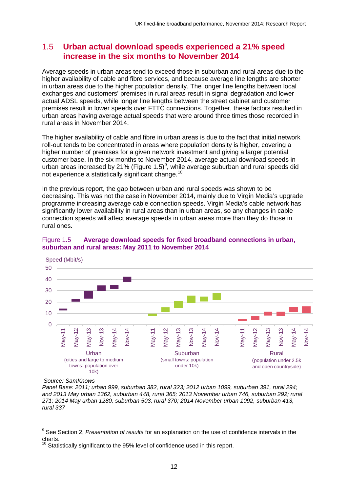## 1.5 **Urban actual download speeds experienced a 21% speed increase in the six months to November 2014**

Average speeds in urban areas tend to exceed those in suburban and rural areas due to the higher availability of cable and fibre services, and because average line lengths are shorter in urban areas due to the higher population density. The longer line lengths between local exchanges and customers' premises in rural areas result in signal degradation and lower actual ADSL speeds, while longer line lengths between the street cabinet and customer premises result in lower speeds over FTTC connections. Together, these factors resulted in urban areas having average actual speeds that were around three times those recorded in rural areas in November 2014.

The higher availability of cable and fibre in urban areas is due to the fact that initial network roll-out tends to be concentrated in areas where population density is higher, covering a higher number of premises for a given network investment and giving a larger potential customer base. In the six months to November 2014, average actual download speeds in urban areas increased by 21% [\(Figure 1.5\)](#page-12-0)<sup>[9](#page-12-1)</sup>, while average suburban and rural speeds did not experience a statistically significant change.<sup>[10](#page-12-2)</sup>

In the previous report, the gap between urban and rural speeds was shown to be decreasing. This was not the case in November 2014, mainly due to Virgin Media's upgrade programme increasing average cable connection speeds. Virgin Media's cable network has significantly lower availability in rural areas than in urban areas, so any changes in cable connection speeds will affect average speeds in urban areas more than they do those in rural ones.

<span id="page-12-0"></span>



*Source: SamKnows* 

*Panel Base: 2011; urban 999, suburban 382, rural 323; 2012 urban 1099, suburban 391, rural 294; and 2013 May urban 1362, suburban 448, rural 365; 2013 November urban 746, suburban 292; rural 271; 2014 May urban 1280, suburban 503, rural 370; 2014 November urban 1092, suburban 413, rural 337*

<span id="page-12-1"></span><sup>9</sup> See Section 2, *Presentation of results* for an explanation on the use of confidence intervals in the charts.  $\overline{a}$ 

<span id="page-12-2"></span>Statistically significant to the 95% level of confidence used in this report.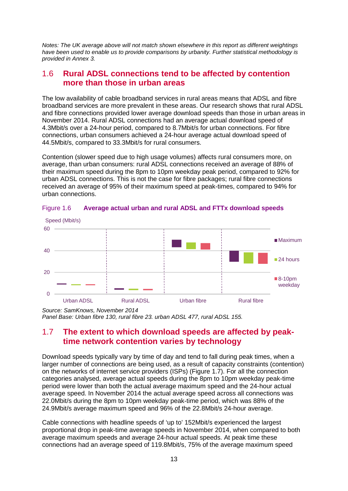*Notes: The UK average above will not match shown elsewhere in this report as different weightings have been used to enable us to provide comparisons by urbanity. Further statistical methodology is provided in Annex 3.*

## 1.6 **Rural ADSL connections tend to be affected by contention more than those in urban areas**

The low availability of cable broadband services in rural areas means that ADSL and fibre broadband services are more prevalent in these areas. Our research shows that rural ADSL and fibre connections provided lower average download speeds than those in urban areas in November 2014. Rural ADSL connections had an average actual download speed of 4.3Mbit/s over a 24-hour period, compared to 8.7Mbit/s for urban connections. For fibre connections, urban consumers achieved a 24-hour average actual download speed of 44.5Mbit/s, compared to 33.3Mbit/s for rural consumers.

Contention (slower speed due to high usage volumes) affects rural consumers more, on average, than urban consumers: rural ADSL connections received an average of 88% of their maximum speed during the 8pm to 10pm weekday peak period, compared to 92% for urban ADSL connections. This is not the case for fibre packages; rural fibre connections received an average of 95% of their maximum speed at peak-times, compared to 94% for urban connections.



Figure 1.6 **Average actual urban and rural ADSL and FTTx download speeds**

*Source: SamKnows, November 2014 Panel Base: Urban fibre 130, rural fibre 23. urban ADSL 477, rural ADSL 155.*

## 1.7 **The extent to which download speeds are affected by peaktime network contention varies by technology**

Download speeds typically vary by time of day and tend to fall during peak times, when a larger number of connections are being used, as a result of capacity constraints (contention) on the networks of internet service providers (ISPs) [\(Figure 1.7\)](#page-14-0). For all the connection categories analysed, average actual speeds during the 8pm to 10pm weekday peak-time period were lower than both the actual average maximum speed and the 24-hour actual average speed. In November 2014 the actual average speed across all connections was 22.0Mbit/s during the 8pm to 10pm weekday peak-time period, which was 88% of the 24.9Mbit/s average maximum speed and 96% of the 22.8Mbit/s 24-hour average.

Cable connections with headline speeds of 'up to' 152Mbit/s experienced the largest proportional drop in peak-time average speeds in November 2014, when compared to both average maximum speeds and average 24-hour actual speeds. At peak time these connections had an average speed of 119.8Mbit/s, 75% of the average maximum speed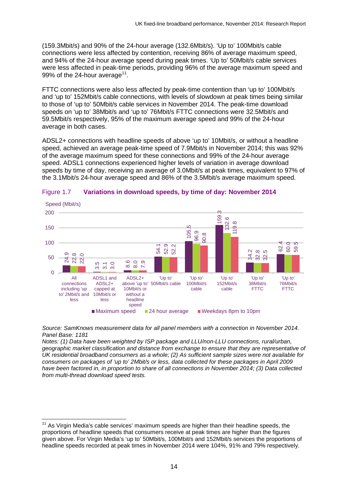(159.3Mbit/s) and 90% of the 24-hour average (132.6Mbit/s). 'Up to' 100Mbit/s cable connections were less affected by contention, receiving 86% of average maximum speed, and 94% of the 24-hour average speed during peak times. 'Up to' 50Mbit/s cable services were less affected in peak-time periods, providing 96% of the average maximum speed and 99% of the 24-hour average<sup>11</sup>.

FTTC connections were also less affected by peak-time contention than 'up to' 100Mbit/s and 'up to' 152Mbit/s cable connections, with levels of slowdown at peak times being similar to those of 'up to' 50Mbit/s cable services in November 2014. The peak-time download speeds on 'up to' 38Mbit/s and 'up to' 76Mbit/s FTTC connections were 32.5Mbit/s and 59.5Mbit/s respectively, 95% of the maximum average speed and 99% of the 24-hour average in both cases.

ADSL2+ connections with headline speeds of above 'up to' 10Mbit/s, or without a headline speed, achieved an average peak-time speed of 7.9Mbit/s in November 2014; this was 92% of the average maximum speed for these connections and 99% of the 24-hour average speed. ADSL1 connections experienced higher levels of variation in average download speeds by time of day, receiving an average of 3.0Mbit/s at peak times, equivalent to 97% of the 3.1Mbit/s 24-hour average speed and 86% of the 3.5Mbit/s average maximum speed.



#### <span id="page-14-0"></span>Figure 1.7 **Variations in download speeds, by time of day: November 2014**

*Source: SamKnows measurement data for all panel members with a connection in November 2014. Panel Base: 1181*

*Notes: (1) Data have been weighted by ISP package and LLU/non-LLU connections, rural/urban, geographic market classification and distance from exchange to ensure that they are representative of UK residential broadband consumers as a whole; (2) As sufficient sample sizes were not available for consumers on packages of 'up to' 2Mbit/s or less, data collected for these packages in April 2009 have been factored in, in proportion to share of all connections in November 2014; (3) Data collected from multi-thread download speed tests.*

<span id="page-14-1"></span> $11$  As Virgin Media's cable services' maximum speeds are higher than their headline speeds, the proportions of headline speeds that consumers receive at peak times are higher than the figures given above. For Virgin Media's 'up to' 50Mbit/s, 100Mbit/s and 152Mbit/s services the proportions of  $\overline{1}$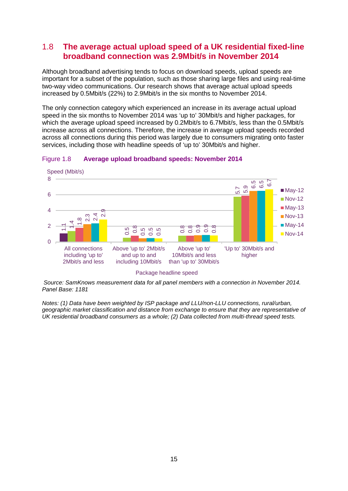# 1.8 **The average actual upload speed of a UK residential fixed-line broadband connection was 2.9Mbit/s in November 2014**

Although broadband advertising tends to focus on download speeds, upload speeds are important for a subset of the population, such as those sharing large files and using real-time two-way video communications. Our research shows that average actual upload speeds increased by 0.5Mbit/s (22%) to 2.9Mbit/s in the six months to November 2014.

The only connection category which experienced an increase in its average actual upload speed in the six months to November 2014 was 'up to' 30Mbit/s and higher packages, for which the average upload speed increased by 0.2Mbit/s to 6.7Mbit/s, less than the 0.5Mbit/s increase across all connections. Therefore, the increase in average upload speeds recorded across all connections during this period was largely due to consumers migrating onto faster services, including those with headline speeds of 'up to' 30Mbit/s and higher.



#### Figure 1.8 **Average upload broadband speeds: November 2014**

*Source: SamKnows measurement data for all panel members with a connection in November 2014. Panel Base: 1181*

*Notes: (1) Data have been weighted by ISP package and LLU/non-LLU connections, rural/urban, geographic market classification and distance from exchange to ensure that they are representative of* 

Package headline speed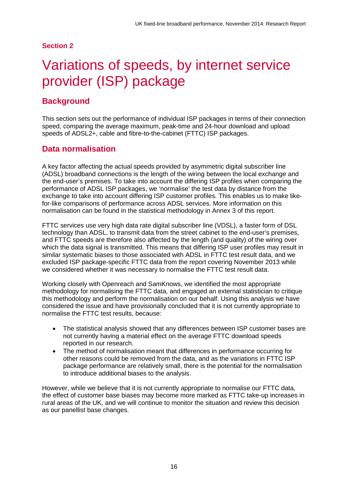### **Section 2**

# <span id="page-16-0"></span>Variations of speeds, by internet service provider (ISP) package

## **Background**

This section sets out the performance of individual ISP packages in terms of their connection speed, comparing the average maximum, peak-time and 24-hour download and upload speeds of ADSL2+, cable and fibre-to-the-cabinet (FTTC) ISP packages.

# **Data normalisation**

A key factor affecting the actual speeds provided by asymmetric digital subscriber line (ADSL) broadband connections is the length of the wiring between the local exchange and the end-user's premises. To take into account the differing ISP profiles when comparing the performance of ADSL ISP packages, we 'normalise' the test data by distance from the exchange to take into account differing ISP customer profiles. This enables us to make likefor-like comparisons of performance across ADSL services. More information on this normalisation can be found in the statistical methodology in Annex 3 of this report.

FTTC services use very high data rate digital subscriber line (VDSL), a faster form of DSL technology than ADSL, to transmit data from the street cabinet to the end-user's premises, and FTTC speeds are therefore also affected by the length (and quality) of the wiring over which the data signal is transmitted. This means that differing ISP user profiles may result in similar systematic biases to those associated with ADSL in FTTC test result data, and we excluded ISP package-specific FTTC data from the report covering November 2013 while we considered whether it was necessary to normalise the FTTC test result data.

Working closely with Openreach and SamKnows, we identified the most appropriate methodology for normalising the FTTC data, and engaged an external statistician to critique this methodology and perform the normalisation on our behalf. Using this analysis we have considered the issue and have provisionally concluded that it is not currently appropriate to normalise the FTTC test results, because:

- The statistical analysis showed that any differences between ISP customer bases are not currently having a material effect on the average FTTC download speeds reported in our research.
- The method of normalisation meant that differences in performance occurring for other reasons could be removed from the data, and as the variations in FTTC ISP package performance are relatively small, there is the potential for the normalisation to introduce additional biases to the analysis.

However, while we believe that it is not currently appropriate to normalise our FTTC data, the effect of customer base biases may become more marked as FTTC take-up increases in rural areas of the UK, and we will continue to monitor the situation and review this decision as our panellist base changes.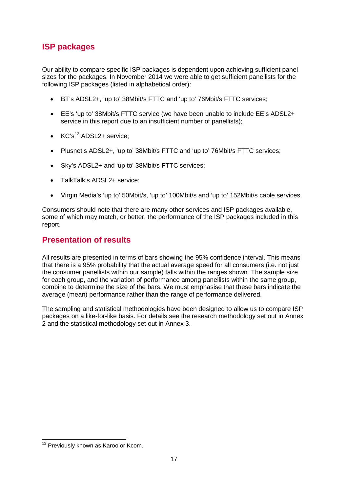# **ISP packages**

Our ability to compare specific ISP packages is dependent upon achieving sufficient panel sizes for the packages. In November 2014 we were able to get sufficient panellists for the following ISP packages (listed in alphabetical order):

- BT's ADSL2+, 'up to' 38Mbit/s FTTC and 'up to' 76Mbit/s FTTC services;
- EE's 'up to' 38Mbit/s FTTC service (we have been unable to include EE's ADSL2+ service in this report due to an insufficient number of panellists):
- $\bullet$  KC's<sup>[12](#page-17-0)</sup> ADSL2+ service:
- Plusnet's ADSL2+, 'up to' 38Mbit/s FTTC and 'up to' 76Mbit/s FTTC services;
- Sky's ADSL2+ and 'up to' 38Mbit/s FTTC services;
- TalkTalk's ADSL2+ service;
- Virgin Media's 'up to' 50Mbit/s, 'up to' 100Mbit/s and 'up to' 152Mbit/s cable services.

Consumers should note that there are many other services and ISP packages available, some of which may match, or better, the performance of the ISP packages included in this report.

## **Presentation of results**

All results are presented in terms of bars showing the 95% confidence interval. This means that there is a 95% probability that the actual average speed for all consumers (i.e. not just the consumer panellists within our sample) falls within the ranges shown. The sample size for each group, and the variation of performance among panellists within the same group, combine to determine the size of the bars. We must emphasise that these bars indicate the average (mean) performance rather than the range of performance delivered.

The sampling and statistical methodologies have been designed to allow us to compare ISP packages on a like-for-like basis. For details see the research methodology set out in Annex 2 and the statistical methodology set out in Annex 3.

<span id="page-17-0"></span><sup>&</sup>lt;sup>12</sup> Previously known as Karoo or Kcom.  $\overline{a}$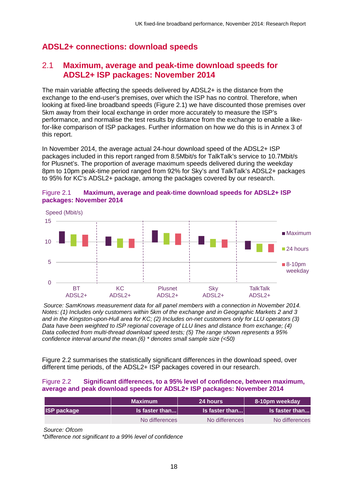# **ADSL2+ connections: download speeds**

# 2.1 **Maximum, average and peak-time download speeds for ADSL2+ ISP packages: November 2014**

The main variable affecting the speeds delivered by ADSL2+ is the distance from the exchange to the end-user's premises, over which the ISP has no control. Therefore, when looking at fixed-line broadband speeds [\(Figure 2.1\)](#page-18-0) we have discounted those premises over 5km away from their local exchange in order more accurately to measure the ISP's performance, and normalise the test results by distance from the exchange to enable a likefor-like comparison of ISP packages. Further information on how we do this is in Annex 3 of this report.

In November 2014, the average actual 24-hour download speed of the ADSL2+ ISP packages included in this report ranged from 8.5Mbit/s for TalkTalk's service to 10.7Mbit/s for Plusnet's. The proportion of average maximum speeds delivered during the weekday 8pm to 10pm peak-time period ranged from 92% for Sky's and TalkTalk's ADSL2+ packages to 95% for KC's ADSL2+ package, among the packages covered by our research.



### <span id="page-18-0"></span>Figure 2.1 **Maximum, average and peak-time download speeds for ADSL2+ ISP packages: November 2014**

*Source: SamKnows measurement data for all panel members with a connection in November 2014. Notes: (1) Includes only customers within 5km of the exchange and in Geographic Markets 2 and 3 and in the Kingston-upon-Hull area for KC; (2) Includes on-net customers only for LLU operators (3) Data have been weighted to ISP regional coverage of LLU lines and distance from exchange; (4) Data collected from multi-thread download speed tests; (5) The range shown represents a 95% confidence interval around the mean.(6) \* denotes small sample size (<50)*

[Figure 2.2](#page-18-1) summarises the statistically significant differences in the download speed, over different time periods, of the ADSL2+ ISP packages covered in our research.

#### <span id="page-18-1"></span>Figure 2.2 **Significant differences, to a 95% level of confidence, between maximum, average and peak download speeds for ADSL2+ ISP packages: November 2014**

|                    | <b>Maximum</b>         | <b>24 hours</b>  | 8-10pm weekday        |
|--------------------|------------------------|------------------|-----------------------|
| <b>ISP package</b> | $\vert$ is faster than | $ls$ faster than | <b>Is faster than</b> |
|                    | No differences         | No differences   | No differences        |

*Source: Ofcom*

*\*Difference not significant to a 99% level of confidence*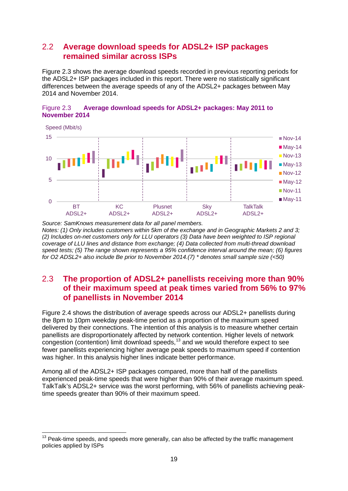# 2.2 **Average download speeds for ADSL2+ ISP packages remained similar across ISPs**

[Figure 2.3](#page-19-0) shows the average download speeds recorded in previous reporting periods for the ADSL2+ ISP packages included in this report. There were no statistically significant differences between the average speeds of any of the ADSL2+ packages between May 2014 and November 2014.

<span id="page-19-0"></span>



*Source: SamKnows measurement data for all panel members. Notes: (1) Only includes customers within 5km of the exchange and in Geographic Markets 2 and 3; (2) Includes on-net customers only for LLU operators (3) Data have been weighted to ISP regional coverage of LLU lines and distance from exchange; (4) Data collected from multi-thread download speed tests; (5) The range shown represents a 95% confidence interval around the mean; (6) figures for O2 ADSL2+ also include Be prior to November 2014.(7) \* denotes small sample size (<50)*

# 2.3 **The proportion of ADSL2+ panellists receiving more than 90% of their maximum speed at peak times varied from 56% to 97% of panellists in November 2014**

[Figure 2.4](#page-20-0) shows the distribution of average speeds across our ADSL2+ panellists during the 8pm to 10pm weekday peak-time period as a proportion of the maximum speed delivered by their connections. The intention of this analysis is to measure whether certain panellists are disproportionately affected by network contention. Higher levels of network congestion (contention) limit download speeds,  $13$  and we would therefore expect to see fewer panellists experiencing higher average peak speeds to maximum speed if contention was higher. In this analysis higher lines indicate better performance.

Among all of the ADSL2+ ISP packages compared, more than half of the panellists experienced peak-time speeds that were higher than 90% of their average maximum speed. TalkTalk's ADSL2+ service was the worst performing, with 56% of panellists achieving peaktime speeds greater than 90% of their maximum speed.

<span id="page-19-1"></span> $13$  Peak-time speeds, and speeds more generally, can also be affected by the traffic management policies applied by ISPs  $\overline{a}$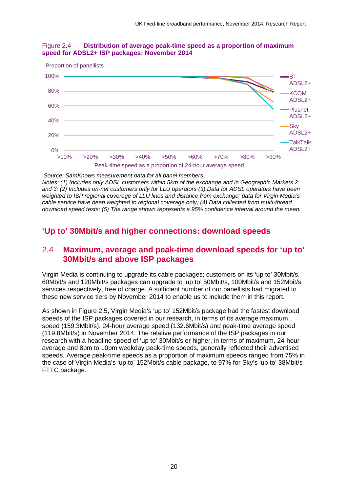

#### <span id="page-20-0"></span>Figure 2.4 **Distribution of average peak-time speed as a proportion of maximum speed for ADSL2+ ISP packages: November 2014**

*Source: SamKnows measurement data for all panel members. Notes: (1) Includes only ADSL customers within 5km of the exchange and in Geographic Markets 2 and 3; (2) Includes on-net customers only for LLU operators (3) Data for ADSL operators have been weighted to ISP regional coverage of LLU lines and distance from exchange; data for Virgin Media's cable service have been weighted to regional coverage only; (4) Data collected from multi-thread download speed tests; (5) The range shown represents a 95% confidence interval around the mean.*

# **'Up to' 30Mbit/s and higher connections: download speeds**

## 2.4 **Maximum, average and peak-time download speeds for 'up to' 30Mbit/s and above ISP packages**

Virgin Media is continuing to upgrade its cable packages; customers on its 'up to' 30Mbit/s, 60Mbit/s and 120Mbit/s packages can upgrade to 'up to' 50Mbit/s, 100Mbit/s and 152Mbit/s services respectively, free of charge. A sufficient number of our panellists had migrated to these new service tiers by November 2014 to enable us to include them in this report.

As shown in [Figure 2.5,](#page-21-0) Virgin Media's 'up to' 152Mbit/s package had the fastest download speeds of the ISP packages covered in our research, in terms of its average maximum speed (159.3Mbit/s), 24-hour average speed (132.6Mbit/s) and peak-time average speed (119.8Mbit/s) in November 2014. The relative performance of the ISP packages in our research with a headline speed of 'up to' 30Mbit/s or higher, in terms of maximum, 24-hour average and 8pm to 10pm weekday peak-time speeds, generally reflected their advertised speeds. Average peak-time speeds as a proportion of maximum speeds ranged from 75% in the case of Virgin Media's 'up to' 152Mbit/s cable package, to 97% for Sky's 'up to' 38Mbit/s FTTC package.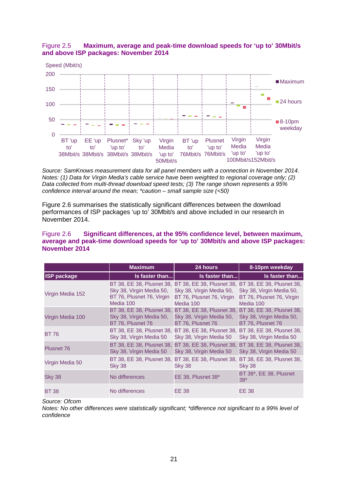<span id="page-21-0"></span>



*Source: SamKnows measurement data for all panel members with a connection in November 2014. Notes: (1) Data for Virgin Media's cable service have been weighted to regional coverage only; (2) Data collected from multi-thread download speed tests; (3) The range shown represents a 95% confidence interval around the mean; \*caution – small sample size (<50)*

[Figure 2.6](#page-21-1) summarises the statistically significant differences between the download performances of ISP packages 'up to' 30Mbit/s and above included in our research in November 2014.

#### <span id="page-21-1"></span>Figure 2.6 **Significant differences, at the 95% confidence level, between maximum, average and peak-time download speeds for 'up to' 30Mbit/s and above ISP packages: November 2014**

|                    | <b>Maximum</b>                                                             | 24 hours                                                                                                                                            | 8-10pm weekday                                                             |
|--------------------|----------------------------------------------------------------------------|-----------------------------------------------------------------------------------------------------------------------------------------------------|----------------------------------------------------------------------------|
| <b>ISP package</b> | Is faster than                                                             | Is faster than                                                                                                                                      | Is faster than                                                             |
| Virgin Media 152   | Sky 38, Virgin Media 50,<br>BT 76, Plusnet 76, Virgin<br>Media 100         | BT 38, EE 38, Plusnet 38, BT 38, EE 38, Plusnet 38, BT 38, EE 38, Plusnet 38,<br>Sky 38, Virgin Media 50,<br>BT 76, Plusnet 76, Virgin<br>Media 100 | Sky 38, Virgin Media 50,<br>BT 76, Plusnet 76, Virgin<br>Media 100         |
| Virgin Media 100   | BT 38, EE 38, Plusnet 38,<br>Sky 38, Virgin Media 50,<br>BT 76, Plusnet 76 | BT 38, EE 38, Plusnet 38,<br>Sky 38, Virgin Media 50,<br>BT 76, Plusnet 76                                                                          | BT 38, EE 38, Plusnet 38,<br>Sky 38, Virgin Media 50,<br>BT 76, Plusnet 76 |
| <b>BT 76</b>       | Sky 38, Virgin Media 50                                                    | BT 38, EE 38, Plusnet 38, BT 38, EE 38, Plusnet 38, BT 38, EE 38, Plusnet 38,<br>Sky 38, Virgin Media 50                                            | Sky 38, Virgin Media 50                                                    |
| <b>Plusnet 76</b>  | BT 38, EE 38, Plusnet 38,<br>Sky 38, Virgin Media 50                       | BT 38, EE 38, Plusnet 38, BT 38, EE 38, Plusnet 38,<br>Sky 38, Virgin Media 50                                                                      | Sky 38, Virgin Media 50                                                    |
| Virgin Media 50    | BT 38, EE 38, Plusnet 38,<br>Sky 38                                        | BT 38, EE 38, Plusnet 38, BT 38, EE 38, Plusnet 38,<br>Sky 38                                                                                       | Sky 38                                                                     |
| <b>Sky 38</b>      | No differences                                                             | EE 38, Plusnet 38*                                                                                                                                  | BT 38*, EE 38, Plusnet<br>$38*$                                            |
| <b>BT 38</b>       | No differences                                                             | EE 38                                                                                                                                               | <b>EE 38</b>                                                               |

*Source: Ofcom*

*Notes: No other differences were statistically significant; \*difference not significant to a 99% level of confidence*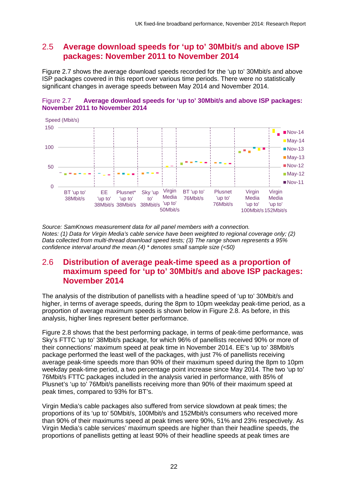# 2.5 **Average download speeds for 'up to' 30Mbit/s and above ISP packages: November 2011 to November 2014**

[Figure 2.7](#page-22-0) shows the average download speeds recorded for the 'up to' 30Mbit/s and above ISP packages covered in this report over various time periods. There were no statistically significant changes in average speeds between May 2014 and November 2014.

<span id="page-22-0"></span>



*Source: SamKnows measurement data for all panel members with a connection. Notes: (1) Data for Virgin Media's cable service have been weighted to regional coverage only; (2) Data collected from multi-thread download speed tests; (3) The range shown represents a 95% confidence interval around the mean.(4) \* denotes small sample size (<50)*

## 2.6 **Distribution of average peak-time speed as a proportion of maximum speed for 'up to' 30Mbit/s and above ISP packages: November 2014**

The analysis of the distribution of panellists with a headline speed of 'up to' 30Mbit/s and higher, in terms of average speeds, during the 8pm to 10pm weekday peak-time period, as a proportion of average maximum speeds is shown below in [Figure 2.8.](#page-23-0) As before, in this analysis, higher lines represent better performance.

[Figure 2.8](#page-23-0) shows that the best performing package, in terms of peak-time performance, was Sky's FTTC 'up to' 38Mbit/s package, for which 96% of panellists received 90% or more of their connections' maximum speed at peak time in November 2014. EE's 'up to' 38Mbit/s package performed the least well of the packages, with just 7% of panellists receiving average peak-time speeds more than 90% of their maximum speed during the 8pm to 10pm weekday peak-time period, a two percentage point increase since May 2014. The two 'up to' 76Mbit/s FTTC packages included in the analysis varied in performance, with 85% of Plusnet's 'up to' 76Mbit/s panellists receiving more than 90% of their maximum speed at peak times, compared to 93% for BT's.

Virgin Media's cable packages also suffered from service slowdown at peak times; the proportions of its 'up to' 50Mbit/s, 100Mbit/s and 152Mbit/s consumers who received more than 90% of their maximums speed at peak times were 90%, 51% and 23% respectively. As Virgin Media's cable services' maximum speeds are higher than their headline speeds, the proportions of panellists getting at least 90% of their headline speeds at peak times are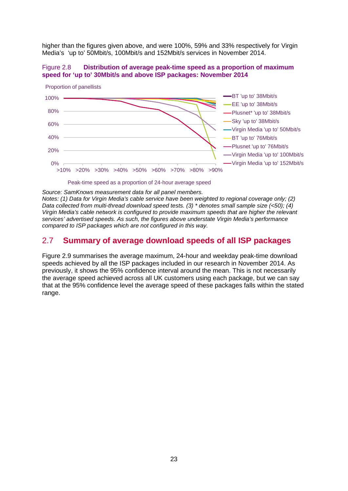higher than the figures given above, and were 100%, 59% and 33% respectively for Virgin Media's 'up to' 50Mbit/s, 100Mbit/s and 152Mbit/s services in November 2014.

<span id="page-23-0"></span>



Peak-time speed as a proportion of 24-hour average speed

*Source: SamKnows measurement data for all panel members.*

*Notes: (1) Data for Virgin Media's cable service have been weighted to regional coverage only; (2) Data collected from multi-thread download speed tests. (3) \* denotes small sample size (<50); (4) Virgin Media's cable network is configured to provide maximum speeds that are higher the relevant services' advertised speeds. As such, the figures above understate Virgin Media's performance compared to ISP packages which are not configured in this way.*

## 2.7 **Summary of average download speeds of all ISP packages**

[Figure 2.9](#page-24-0) summarises the average maximum, 24-hour and weekday peak-time download speeds achieved by all the ISP packages included in our research in November 2014. As previously, it shows the 95% confidence interval around the mean. This is not necessarily the average speed achieved across all UK customers using each package, but we can say that at the 95% confidence level the average speed of these packages falls within the stated range.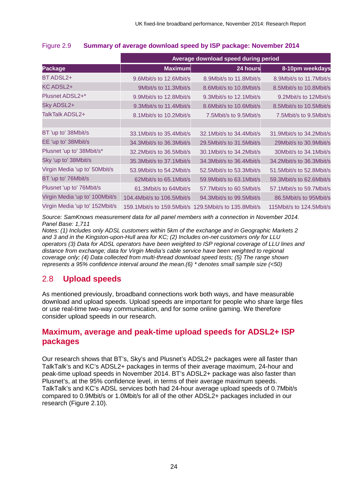|                                | Average download speed during period |                                                           |                            |  |
|--------------------------------|--------------------------------------|-----------------------------------------------------------|----------------------------|--|
| <b>Package</b>                 | <b>Maximum</b>                       | 24 hours                                                  | 8-10pm weekdays            |  |
| BT ADSL2+                      | 9.6Mbit/s to 12.6Mbit/s              | 8.9Mbit/s to 11.8Mbit/s                                   | 8.9Mbit/s to 11.7Mbit/s    |  |
| KC ADSL2+                      | 9Mbit/s to 11.3Mbit/s                | 8.6Mbit/s to 10.8Mbit/s                                   | 8.5Mbit/s to 10.8Mbit/s    |  |
| Plusnet ADSL2+*                | 9.9Mbit/s to 12.8Mbit/s              | 9.3Mbit/s to 12.1Mbit/s                                   | 9.2Mbit/s to 12Mbit/s      |  |
| Sky ADSL2+                     | 9.3Mbit/s to 11.4Mbit/s              | 8.6Mbit/s to 10.6Mbit/s                                   | 8.5Mbit/s to 10.5Mbit/s    |  |
| TalkTalk ADSL2+                | 8.1Mbit/s to 10.2Mbit/s              | 7.5Mbit/s to 9.5Mbit/s                                    | 7.5Mbit/s to 9.5Mbit/s     |  |
|                                |                                      |                                                           |                            |  |
| BT 'up to' 38Mbit/s            | 33.1 Mbit/s to 35.4 Mbit/s           | 32.1 Mbit/s to 34.4 Mbit/s                                | 31.9Mbit/s to 34.2Mbit/s   |  |
| EE 'up to' 38Mbit/s            | 34.3Mbit/s to 36.3Mbit/s             | 29.5Mbit/s to 31.5Mbit/s                                  | 29Mbit/s to 30.9Mbit/s     |  |
| Plusnet 'up to' 38Mbit/s*      | 32.2Mbit/s to 36.5Mbit/s             | 30.1 Mbit/s to 34.2 Mbit/s                                | 30Mbit/s to 34.1Mbit/s     |  |
| Sky 'up to' 38Mbit/s           | 35.3Mbit/s to 37.1Mbit/s             | 34.3Mbit/s to 36.4Mbit/s                                  | 34.2Mbit/s to 36.3Mbit/s   |  |
| Virgin Media 'up to' 50Mbit/s  | 53.9Mbit/s to 54.2Mbit/s             | 52.5Mbit/s to 53.3Mbit/s                                  | 51.5Mbit/s to 52.8Mbit/s   |  |
| BT 'up to' 76Mbit/s            | 62Mbit/s to 65.1Mbit/s               | 59.9Mbit/s to 63.1Mbit/s                                  | 59.3Mbit/s to 62.6Mbit/s   |  |
| Plusnet 'up to' 76Mbit/s       | 61.3Mbit/s to 64Mbit/s               | 57.7Mbit/s to 60.5Mbit/s                                  | 57.1 Mbit/s to 59.7 Mbit/s |  |
| Virgin Media 'up to' 100Mbit/s | 104.4Mbit/s to 106.5Mbit/s           | 94.3Mbit/s to 99.5Mbit/s                                  | 86.5Mbit/s to 95Mbit/s     |  |
| Virgin Media 'up to' 152Mbit/s |                                      | 159.1 Mbit/s to 159.5 Mbit/s 129.5 Mbit/s to 135.8 Mbit/s | 115Mbit/s to 124.5Mbit/s   |  |

### <span id="page-24-0"></span>Figure 2.9 **Summary of average download speed by ISP package: November 2014**

*Source: SamKnows measurement data for all panel members with a connection in November 2014. Panel Base: 1,711*

*Notes: (1) Includes only ADSL customers within 5km of the exchange and in Geographic Markets 2 and 3 and in the Kingston-upon-Hull area for KC; (2) Includes on-net customers only for LLU operators (3) Data for ADSL operators have been weighted to ISP regional coverage of LLU lines and distance from exchange; data for Virgin Media's cable service have been weighted to regional coverage only; (4) Data collected from multi-thread download speed tests; (5) The range shown represents a 95% confidence interval around the mean.(6) \* denotes small sample size (<50)*

# 2.8 **Upload speeds**

As mentioned previously, broadband connections work both ways, and have measurable download and upload speeds. Upload speeds are important for people who share large files or use real-time two-way communication, and for some online gaming. We therefore consider upload speeds in our research.

# **Maximum, average and peak-time upload speeds for ADSL2+ ISP packages**

Our research shows that BT's, Sky's and Plusnet's ADSL2+ packages were all faster than TalkTalk's and KC's ADSL2+ packages in terms of their average maximum, 24-hour and peak-time upload speeds in November 2014. BT's ADSL2+ package was also faster than Plusnet's, at the 95% confidence level, in terms of their average maximum speeds. TalkTalk's and KC's ADSL services both had 24-hour average upload speeds of 0.7Mbit/s compared to 0.9Mbit/s or 1.0Mbit/s for all of the other ADSL2+ packages included in our research [\(Figure 2.10\)](#page-25-0).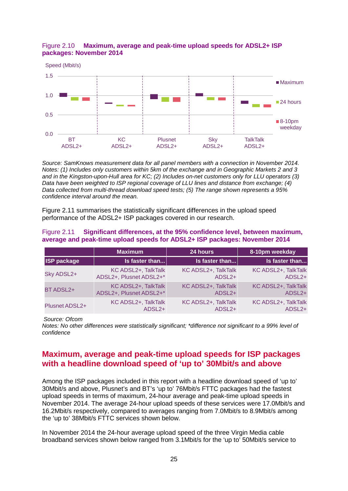

### <span id="page-25-0"></span>Figure 2.10 **Maximum, average and peak-time upload speeds for ADSL2+ ISP packages: November 2014**

*Source: SamKnows measurement data for all panel members with a connection in November 2014. Notes: (1) Includes only customers within 5km of the exchange and in Geographic Markets 2 and 3 and in the Kingston-upon-Hull area for KC; (2) Includes on-net customers only for LLU operators (3) Data have been weighted to ISP regional coverage of LLU lines and distance from exchange; (4) Data collected from multi-thread download speed tests; (5) The range shown represents a 95% confidence interval around the mean.*

[Figure 2.11](#page-25-1) summarises the statistically significant differences in the upload speed performance of the ADSL2+ ISP packages covered in our research.

#### <span id="page-25-1"></span>Figure 2.11 **Significant differences, at the 95% confidence level, between maximum, average and peak-time upload speeds for ADSL2+ ISP packages: November 2014**

|                    | <b>Maximum</b>          | 24 hours            | 8-10pm weekday      |
|--------------------|-------------------------|---------------------|---------------------|
| <b>ISP package</b> | Is faster than          | Is faster than      | Is faster than      |
| Sky ADSL2+         | KC ADSL2+, TalkTalk     | KC ADSL2+, TalkTalk | KC ADSL2+, TalkTalk |
|                    | ADSL2+, Plusnet ADSL2+* | ADSL <sub>2+</sub>  | ADSL <sub>2+</sub>  |
| BT ADSL2+          | KC ADSL2+, TalkTalk     | KC ADSL2+, TalkTalk | KC ADSL2+, TalkTalk |
|                    | ADSL2+, Plusnet ADSL2+* | ADSL <sub>2+</sub>  | ADSL <sub>2+</sub>  |
| Plusnet ADSL2+     | KC ADSL2+, TalkTalk     | KC ADSL2+, TalkTalk | KC ADSL2+, TalkTalk |
|                    | ADSL <sub>2+</sub>      | ADSL <sub>2+</sub>  | ADSL <sub>2+</sub>  |

*Source: Ofcom*

*Notes: No other differences were statistically significant; \*difference not significant to a 99% level of confidence*

## **Maximum, average and peak-time upload speeds for ISP packages with a headline download speed of 'up to' 30Mbit/s and above**

Among the ISP packages included in this report with a headline download speed of 'up to' 30Mbit/s and above, Plusnet's and BT's 'up to' 76Mbit/s FTTC packages had the fastest upload speeds in terms of maximum, 24-hour average and peak-time upload speeds in November 2014. The average 24-hour upload speeds of these services were 17.0Mbit/s and 16.2Mbit/s respectively, compared to averages ranging from 7.0Mbit/s to 8.9Mbit/s among the 'up to' 38Mbit/s FTTC services shown below.

In November 2014 the 24-hour average upload speed of the three Virgin Media cable broadband services shown below ranged from 3.1Mbit/s for the 'up to' 50Mbit/s service to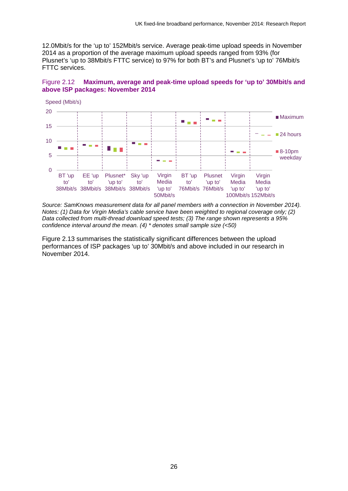12.0Mbit/s for the 'up to' 152Mbit/s service. Average peak-time upload speeds in November 2014 as a proportion of the average maximum upload speeds ranged from 93% (for Plusnet's 'up to 38Mbit/s FTTC service) to 97% for both BT's and Plusnet's 'up to' 76Mbit/s FTTC services.

#### Figure 2.12 **Maximum, average and peak-time upload speeds for 'up to' 30Mbit/s and above ISP packages: November 2014**



*Source: SamKnows measurement data for all panel members with a connection in November 2014). Notes: (1) Data for Virgin Media's cable service have been weighted to regional coverage only; (2) Data collected from multi-thread download speed tests; (3) The range shown represents a 95% confidence interval around the mean. (4) \* denotes small sample size (<50)*

[Figure 2.13](#page-27-0) summarises the statistically significant differences between the upload performances of ISP packages 'up to' 30Mbit/s and above included in our research in November 2014.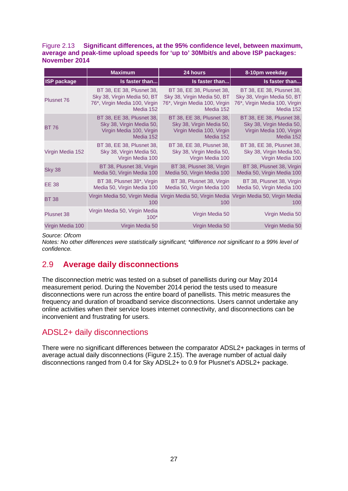#### <span id="page-27-0"></span>Figure 2.13 **Significant differences, at the 95% confidence level, between maximum, average and peak-time upload speeds for 'up to' 30Mbit/s and above ISP packages: November 2014**

|                    | <b>Maximum</b>                          | 24 hours                                                           | 8-10pm weekday                       |
|--------------------|-----------------------------------------|--------------------------------------------------------------------|--------------------------------------|
| <b>ISP package</b> | Is faster than                          | Is faster than                                                     | Is faster than                       |
| <b>Plusnet 76</b>  | BT 38, EE 38, Plusnet 38,               | BT 38, EE 38, Plusnet 38,                                          | BT 38, EE 38, Plusnet 38,            |
|                    | Sky 38, Virgin Media 50, BT             | Sky 38, Virgin Media 50, BT                                        | Sky 38, Virgin Media 50, BT          |
|                    | 76*, Virgin Media 100, Virgin           | 76*, Virgin Media 100, Virgin                                      | 76*, Virgin Media 100, Virgin        |
|                    | Media 152                               | Media 152                                                          | Media 152                            |
| <b>BT 76</b>       | BT 38, EE 38, Plusnet 38,               | BT 38, EE 38, Plusnet 38,                                          | BT 38, EE 38, Plusnet 38,            |
|                    | Sky 38, Virgin Media 50,                | Sky 38, Virgin Media 50,                                           | Sky 38, Virgin Media 50,             |
|                    | Virgin Media 100, Virgin                | Virgin Media 100, Virgin                                           | Virgin Media 100, Virgin             |
|                    | Media 152                               | Media 152                                                          | Media 152                            |
| Virgin Media 152   | BT 38, EE 38, Plusnet 38,               | BT 38, EE 38, Plusnet 38,                                          | BT 38, EE 38, Plusnet 38,            |
|                    | Sky 38, Virgin Media 50,                | Sky 38, Virgin Media 50,                                           | Sky 38, Virgin Media 50,             |
|                    | Virgin Media 100                        | Virgin Media 100                                                   | Virgin Media 100                     |
| <b>Sky 38</b>      | BT 38, Plusnet 38, Virgin               | BT 38, Plusnet 38, Virgin                                          | BT 38, Plusnet 38, Virgin            |
|                    | Media 50, Virgin Media 100              | Media 50, Virgin Media 100                                         | Media 50, Virgin Media 100           |
| <b>EE 38</b>       | BT 38, Plusnet 38*, Virgin              | BT 38, Plusnet 38, Virgin                                          | BT 38, Plusnet 38, Virgin            |
|                    | Media 50, Virgin Media 100              | Media 50, Virgin Media 100                                         | Media 50, Virgin Media 100           |
| <b>BT 38</b>       | 100                                     | Virgin Media 50, Virgin Media Virgin Media 50, Virgin Media<br>100 | Virgin Media 50, Virgin Media<br>100 |
| <b>Plusnet 38</b>  | Virgin Media 50, Virgin Media<br>$100*$ | Virgin Media 50                                                    | Virgin Media 50                      |
| Virgin Media 100   | Virgin Media 50                         | Virgin Media 50                                                    | Virgin Media 50                      |

#### *Source: Ofcom*

*Notes: No other differences were statistically significant; \*difference not significant to a 99% level of confidence.*

# 2.9 **Average daily disconnections**

The disconnection metric was tested on a subset of panellists during our May 2014 measurement period. During the November 2014 period the tests used to measure disconnections were run across the entire board of panellists. This metric measures the frequency and duration of broadband service disconnections. Users cannot undertake any online activities when their service loses internet connectivity, and disconnections can be inconvenient and frustrating for users.

## ADSL2+ daily disconnections

There were no significant differences between the comparator ADSL2+ packages in terms of average actual daily disconnections [\(Figure 2.15\)](#page-28-0). The average number of actual daily disconnections ranged from 0.4 for Sky ADSL2+ to 0.9 for Plusnet's ADSL2+ package.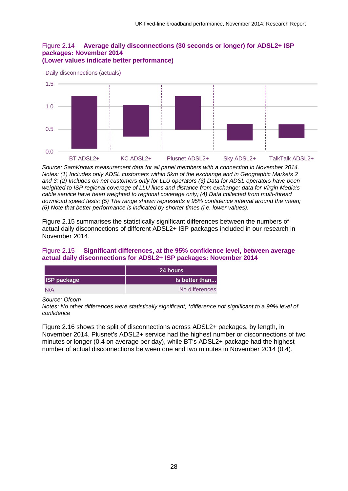#### Figure 2.14 **Average daily disconnections (30 seconds or longer) for ADSL2+ ISP packages: November 2014 (Lower values indicate better performance)**



Daily disconnections (actuals)

*Source: SamKnows measurement data for all panel members with a connection in November 2014. Notes: (1) Includes only ADSL customers within 5km of the exchange and in Geographic Markets 2 and 3; (2) Includes on-net customers only for LLU operators (3) Data for ADSL operators have been weighted to ISP regional coverage of LLU lines and distance from exchange; data for Virgin Media's cable service have been weighted to regional coverage only; (4) Data collected from multi-thread download speed tests; (5) The range shown represents a 95% confidence interval around the mean; (6) Note that better performance is indicated by shorter times (i.e. lower values).*

[Figure 2.15](#page-28-0) summarises the statistically significant differences between the numbers of actual daily disconnections of different ADSL2+ ISP packages included in our research in November 2014.

### <span id="page-28-0"></span>Figure 2.15 **Significant differences, at the 95% confidence level, between average actual daily disconnections for ADSL2+ ISP packages: November 2014**

|                    | <b>24 hours</b> |
|--------------------|-----------------|
| <b>ISP package</b> | Is better than  |
| N/A                | No differences  |

*Source: Ofcom*

*Notes: No other differences were statistically significant; \*difference not significant to a 99% level of confidence*

[Figure 2.16](#page-29-0) shows the split of disconnections across ADSL2+ packages, by length, in November 2014. Plusnet's ADSL2+ service had the highest number or disconnections of two minutes or longer (0.4 on average per day), while BT's ADSL2+ package had the highest number of actual disconnections between one and two minutes in November 2014 (0.4).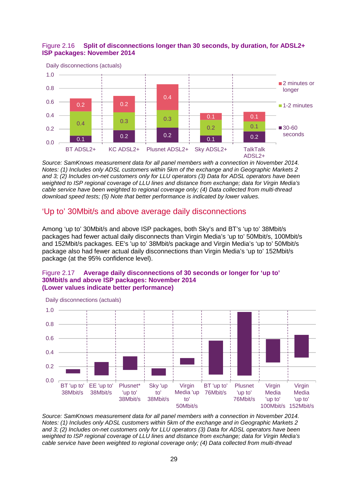### <span id="page-29-0"></span>Figure 2.16 **Split of disconnections longer than 30 seconds, by duration, for ADSL2+ ISP packages: November 2014**



*Source: SamKnows measurement data for all panel members with a connection in November 2014. Notes: (1) Includes only ADSL customers within 5km of the exchange and in Geographic Markets 2 and 3; (2) Includes on-net customers only for LLU operators (3) Data for ADSL operators have been weighted to ISP regional coverage of LLU lines and distance from exchange; data for Virgin Media's cable service have been weighted to regional coverage only; (4) Data collected from multi-thread download speed tests; (5) Note that better performance is indicated by lower values.*

## 'Up to' 30Mbit/s and above average daily disconnections

Among 'up to' 30Mbit/s and above ISP packages, both Sky's and BT's 'up to' 38Mbit/s packages had fewer actual daily disconnects than Virgin Media's 'up to' 50Mbit/s, 100Mbit/s and 152Mbit/s packages. EE's 'up to' 38Mbit/s package and Virgin Media's 'up to' 50Mbit/s package also had fewer actual daily disconnections than Virgin Media's 'up to' 152Mbit/s package (at the 95% confidence level).

#### Figure 2.17 **Average daily disconnections of 30 seconds or longer for 'up to' 30Mbit/s and above ISP packages: November 2014 (Lower values indicate better performance)**



*Source: SamKnows measurement data for all panel members with a connection in November 2014. Notes: (1) Includes only ADSL customers within 5km of the exchange and in Geographic Markets 2 and 3; (2) Includes on-net customers only for LLU operators (3) Data for ADSL operators have been weighted to ISP regional coverage of LLU lines and distance from exchange; data for Virgin Media's cable service have been weighted to regional coverage only; (4) Data collected from multi-thread* 

29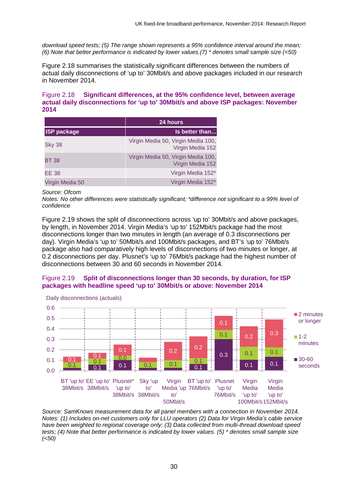*download speed tests; (5) The range shown represents a 95% confidence interval around the mean; (6) Note that better performance is indicated by lower values.(7) \* denotes small sample size (<50)*

[Figure 2.18](#page-30-0) summarises the statistically significant differences between the numbers of actual daily disconnections of 'up to' 30Mbit/s and above packages included in our research in November 2014.

#### <span id="page-30-0"></span>Figure 2.18 **Significant differences, at the 95% confidence level, between average actual daily disconnections for 'up to' 30Mbit/s and above ISP packages: November 2014**

|                    | 24 hours                                               |
|--------------------|--------------------------------------------------------|
| <b>ISP package</b> | Is better than                                         |
| <b>Sky 38</b>      | Virgin Media 50, Virgin Media 100,<br>Virgin Media 152 |
| <b>BT 38</b>       | Virgin Media 50, Virgin Media 100,<br>Virgin Media 152 |
| EE 38              | Virgin Media 152*                                      |
| Virgin Media 50    | Virgin Media 152*                                      |

*Source: Ofcom*

*Notes: No other differences were statistically significant; \*difference not significant to a 99% level of confidence*

[Figure 2.19](#page-30-1) shows the split of disconnections across 'up to' 30Mbit/s and above packages, by length, in November 2014. Virgin Media's 'up to' 152Mbit/s package had the most disconnections longer than two minutes in length (an average of 0.3 disconnections per day). Virgin Media's 'up to' 50Mbit/s and 100Mbit/s packages, and BT's 'up to' 76Mbit/s package also had comparatively high levels of disconnections of two minutes or longer, at 0.2 disconnections per day. Plusnet's 'up to' 76Mbit/s package had the highest number of disconnections between 30 and 60 seconds in November 2014.

### <span id="page-30-1"></span>Figure 2.19 **Split of disconnections longer than 30 seconds, by duration, for ISP packages with headline speed 'up to' 30Mbit/s or above: November 2014**



*Source: SamKnows measurement data for all panel members with a connection in November 2014. Notes: (1) Includes on-net customers only for LLU operators (2) Data for Virgin Media's cable service have been weighted to regional coverage only; (3) Data collected from multi-thread download speed tests; (4) Note that better performance is indicated by lower values. (5) \* denotes small sample size (<50)*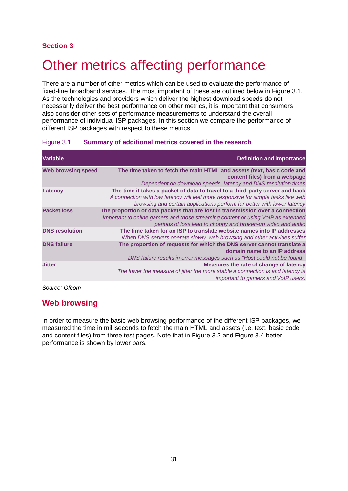## **Section 3**

# <span id="page-31-0"></span>**Other metrics affecting performance**

There are a number of other metrics which can be used to evaluate the performance of fixed-line broadband services. The most important of these are outlined below in [Figure 3.1.](#page-31-1) As the technologies and providers which deliver the highest download speeds do not necessarily deliver the best performance on other metrics, it is important that consumers also consider other sets of performance measurements to understand the overall performance of individual ISP packages. In this section we compare the performance of different ISP packages with respect to these metrics.

| Variable                  | <b>Definition and importance</b>                                                  |
|---------------------------|-----------------------------------------------------------------------------------|
| <b>Web browsing speed</b> | The time taken to fetch the main HTML and assets (text, basic code and            |
|                           | content files) from a webpage                                                     |
|                           | Dependent on download speeds, latency and DNS resolution times                    |
| Latency                   | The time it takes a packet of data to travel to a third-party server and back     |
|                           | A connection with low latency will feel more responsive for simple tasks like web |
|                           | browsing and certain applications perform far better with lower latency           |
| <b>Packet loss</b>        | The proportion of data packets that are lost in transmission over a connection    |
|                           | Important to online gamers and those streaming content or using VoIP as extended  |
|                           | periods of loss lead to choppy and broken-up video and audio                      |
| <b>DNS resolution</b>     | The time taken for an ISP to translate website names into IP addresses            |
|                           | When DNS servers operate slowly, web browsing and other activities suffer         |
| <b>DNS failure</b>        | The proportion of requests for which the DNS server cannot translate a            |
|                           | domain name to an IP address                                                      |
|                           | DNS failure results in error messages such as "Host could not be found"           |
| <b>Jitter</b>             | Measures the rate of change of latency                                            |
|                           | The lower the measure of jitter the more stable a connection is and latency is    |
|                           | important to gamers and VoIP users.                                               |
|                           |                                                                                   |

### <span id="page-31-1"></span>Figure 3.1 **Summary of additional metrics covered in the research**

*Source: Ofcom*

## **Web browsing**

In order to measure the basic web browsing performance of the different ISP packages, we measured the time in milliseconds to fetch the main HTML and assets (i.e. text, basic code and content files) from three test pages. Note that in [Figure 3.2](#page-32-0) and [Figure 3.4](#page-33-0) better performance is shown by lower bars.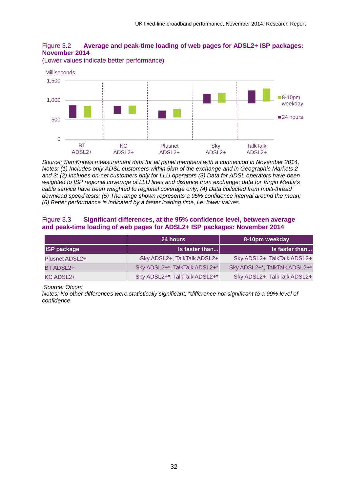<span id="page-32-0"></span>

(Lower values indicate better performance)



*Source: SamKnows measurement data for all panel members with a connection in November 2014. Notes: (1) Includes only ADSL customers within 5km of the exchange and in Geographic Markets 2 and 3; (2) Includes on-net customers only for LLU operators (3) Data for ADSL operators have been weighted to ISP regional coverage of LLU lines and distance from exchange; data for Virgin Media's cable service have been weighted to regional coverage only; (4) Data collected from multi-thread download speed tests; (5) The range shown represents a 95% confidence interval around the mean; (6) Better performance is indicated by a faster loading time, i.e. lower values.*

#### Figure 3.3 **Significant differences, at the 95% confidence level, between average and peak-time loading of web pages for ADSL2+ ISP packages: November 2014**

|                       | 24 hours                      | 8-10pm weekday                |
|-----------------------|-------------------------------|-------------------------------|
| <b>ISP package</b>    | $ls$ faster than              | Is faster than                |
| <b>Plusnet ADSL2+</b> | Sky ADSL2+, TalkTalk ADSL2+   | Sky ADSL2+, TalkTalk ADSL2+   |
| BT ADSL2+             | Sky ADSL2+*, TalkTalk ADSL2+* | Sky ADSL2+*, TalkTalk ADSL2+* |
| KC ADSL2+             | Sky ADSL2+*, TalkTalk ADSL2+* | Sky ADSL2+, TalkTalk ADSL2+   |

*Source: Ofcom*

*Notes: No other differences were statistically significant; \*difference not significant to a 99% level of confidence*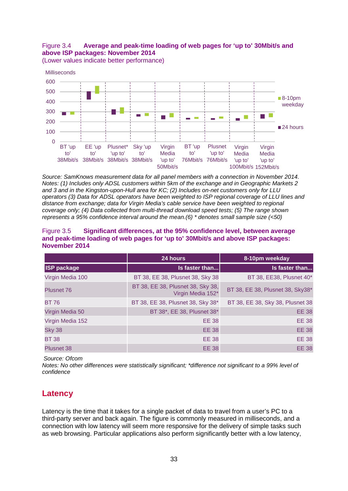## <span id="page-33-0"></span>Figure 3.4 **Average and peak-time loading of web pages for 'up to' 30Mbit/s and above ISP packages: November 2014**



(Lower values indicate better performance)

*Source: SamKnows measurement data for all panel members with a connection in November 2014. Notes: (1) Includes only ADSL customers within 5km of the exchange and in Geographic Markets 2 and 3 and in the Kingston-upon-Hull area for KC; (2) Includes on-net customers only for LLU operators (3) Data for ADSL operators have been weighted to ISP regional coverage of LLU lines and distance from exchange; data for Virgin Media's cable service have been weighted to regional coverage only; (4) Data collected from multi-thread download speed tests; (5) The range shown represents a 95% confidence interval around the mean.(6) \* denotes small sample size (<50)*

#### Figure 3.5 **Significant differences, at the 95% confidence level, between average and peak-time loading of web pages for 'up to' 30Mbit/s and above ISP packages: November 2014**

|                    | 24 hours                                               | 8-10pm weekday                   |
|--------------------|--------------------------------------------------------|----------------------------------|
| <b>ISP package</b> | Is faster than                                         | Is faster than                   |
| Virgin Media 100   | BT 38, EE 38, Plusnet 38, Sky 38                       | BT 38, EE38, Plusnet 40*         |
| Plusnet 76         | BT 38, EE 38, Plusnet 38, Sky 38,<br>Virgin Media 152* | BT 38, EE 38, Plusnet 38, Sky38* |
| <b>BT 76</b>       | BT 38, EE 38, Plusnet 38, Sky 38*                      | BT 38, EE 38, Sky 38, Plusnet 38 |
| Virgin Media 50    | BT 38*, EE 38, Plusnet 38*                             | <b>EE 38</b>                     |
| Virgin Media 152   | <b>EE 38</b>                                           | <b>EE 38</b>                     |
| <b>Sky 38</b>      | <b>EE 38</b>                                           | <b>EE 38</b>                     |
| <b>BT38</b>        | <b>EE 38</b>                                           | <b>EE 38</b>                     |
| <b>Plusnet 38</b>  | <b>EE 38</b>                                           | <b>EE 38</b>                     |

*Source: Ofcom*

*Notes: No other differences were statistically significant; \*difference not significant to a 99% level of confidence*

# **Latency**

Latency is the time that it takes for a single packet of data to travel from a user's PC to a third-party server and back again. The figure is commonly measured in milliseconds, and a connection with low latency will seem more responsive for the delivery of simple tasks such as web browsing. Particular applications also perform significantly better with a low latency,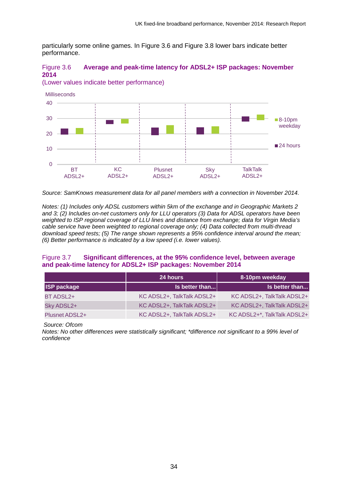particularly some online games. In [Figure 3.6](#page-34-0) and [Figure 3.8](#page-35-0) lower bars indicate better performance.

### <span id="page-34-0"></span>Figure 3.6 **Average and peak-time latency for ADSL2+ ISP packages: November 2014**

(Lower values indicate better performance)



*Source: SamKnows measurement data for all panel members with a connection in November 2014.*

*Notes: (1) Includes only ADSL customers within 5km of the exchange and in Geographic Markets 2 and 3; (2) Includes on-net customers only for LLU operators (3) Data for ADSL operators have been weighted to ISP regional coverage of LLU lines and distance from exchange; data for Virgin Media's cable service have been weighted to regional coverage only; (4) Data collected from multi-thread download speed tests; (5) The range shown represents a 95% confidence interval around the mean; (6) Better performance is indicated by a low speed (i.e. lower values).*

#### Figure 3.7 **Significant differences, at the 95% confidence level, between average and peak-time latency for ADSL2+ ISP packages: November 2014**

|                       | 24 hours                   | 8-10pm weekday              |
|-----------------------|----------------------------|-----------------------------|
| <b>ISP package</b>    | Is better than             | Is better than              |
| BT ADSL2+             | KC ADSL2+, TalkTalk ADSL2+ | KC ADSL2+, TalkTalk ADSL2+  |
| Sky ADSL2+            | KC ADSL2+, TalkTalk ADSL2+ | KC ADSL2+, TalkTalk ADSL2+  |
| <b>Plusnet ADSL2+</b> | KC ADSL2+, TalkTalk ADSL2+ | KC ADSL2+*, TalkTalk ADSL2+ |

*Source: Ofcom*

*Notes: No other differences were statistically significant; \*difference not significant to a 99% level of confidence*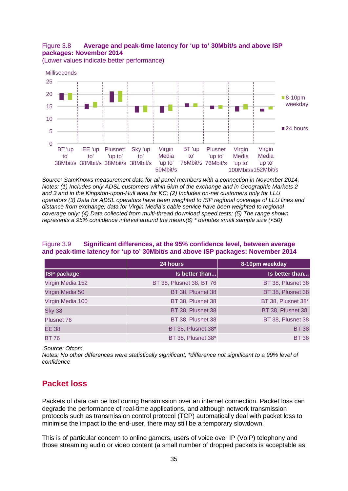## <span id="page-35-0"></span>Figure 3.8 **Average and peak-time latency for 'up to' 30Mbit/s and above ISP packages: November 2014**



(Lower values indicate better performance)

*Source: SamKnows measurement data for all panel members with a connection in November 2014. Notes: (1) Includes only ADSL customers within 5km of the exchange and in Geographic Markets 2 and 3 and in the Kingston-upon-Hull area for KC; (2) Includes on-net customers only for LLU operators (3) Data for ADSL operators have been weighted to ISP regional coverage of LLU lines and distance from exchange; data for Virgin Media's cable service have been weighted to regional coverage only; (4) Data collected from multi-thread download speed tests; (5) The range shown represents a 95% confidence interval around the mean.(6) \* denotes small sample size (<50)*

#### Figure 3.9 **Significant differences, at the 95% confidence level, between average and peak-time latency for 'up to' 30Mbit/s and above ISP packages: November 2014**

|                    | 24 hours                 | 8-10pm weekday     |
|--------------------|--------------------------|--------------------|
| <b>ISP package</b> | Is better than           | Is better than     |
| Virgin Media 152   | BT 38, Plusnet 38, BT 76 | BT 38, Plusnet 38  |
| Virgin Media 50    | BT 38, Plusnet 38        | BT 38, Plusnet 38  |
| Virgin Media 100   | BT 38, Plusnet 38        | BT 38, Plusnet 38* |
| <b>Sky 38</b>      | BT 38, Plusnet 38        | BT 38, Plusnet 38, |
| <b>Plusnet 76</b>  | BT 38, Plusnet 38        | BT 38, Plusnet 38  |
| <b>EE 38</b>       | BT 38, Plusnet 38*       | <b>BT 38</b>       |
| <b>BT 76</b>       | BT 38, Plusnet 38*       | <b>BT38</b>        |

*Source: Ofcom*

*Notes: No other differences were statistically significant; \*difference not significant to a 99% level of confidence*

## **Packet loss**

Packets of data can be lost during transmission over an internet connection. Packet loss can degrade the performance of real-time applications, and although network transmission protocols such as transmission control protocol (TCP) automatically deal with packet loss to minimise the impact to the end-user, there may still be a temporary slowdown.

This is of particular concern to online gamers, users of voice over IP (VoIP) telephony and those streaming audio or video content (a small number of dropped packets is acceptable as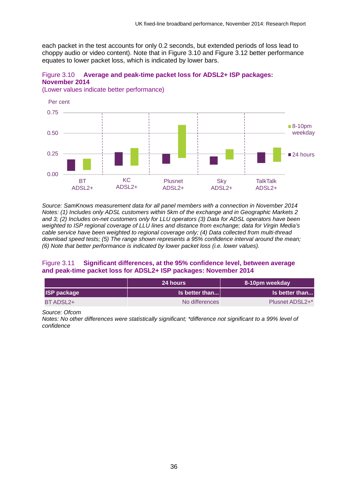each packet in the test accounts for only 0.2 seconds, but extended periods of loss lead to choppy audio or video content). Note that in [Figure 3.10](#page-36-0) and [Figure 3.12](#page-37-0) better performance equates to lower packet loss, which is indicated by lower bars.

#### <span id="page-36-0"></span>Figure 3.10 **Average and peak-time packet loss for ADSL2+ ISP packages: November 2014**

(Lower values indicate better performance)



*Source: SamKnows measurement data for all panel members with a connection in November 2014 Notes: (1) Includes only ADSL customers within 5km of the exchange and in Geographic Markets 2 and 3; (2) Includes on-net customers only for LLU operators (3) Data for ADSL operators have been weighted to ISP regional coverage of LLU lines and distance from exchange; data for Virgin Media's cable service have been weighted to regional coverage only; (4) Data collected from multi-thread download speed tests; (5) The range shown represents a 95% confidence interval around the mean; (6) Note that better performance is indicated by lower packet loss (i.e. lower values).*

#### Figure 3.11 **Significant differences, at the 95% confidence level, between average and peak-time packet loss for ADSL2+ ISP packages: November 2014**

|                    | 24 hours              | 8-10pm weekday  |
|--------------------|-----------------------|-----------------|
| <b>ISP package</b> | <b>Is better than</b> | Is better than  |
| BT ADSL2+          | No differences        | Plusnet ADSL2+* |

*Source: Ofcom*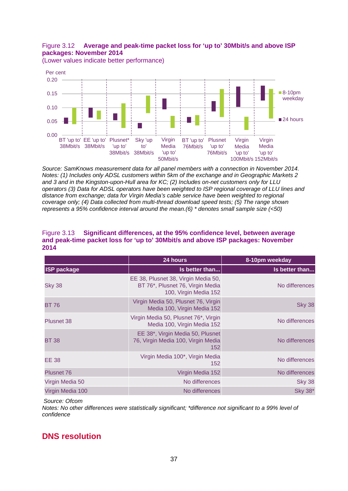## <span id="page-37-0"></span>Figure 3.12 **Average and peak-time packet loss for 'up to' 30Mbit/s and above ISP packages: November 2014**



(Lower values indicate better performance)

*Source: SamKnows measurement data for all panel members with a connection in November 2014. Notes: (1) Includes only ADSL customers within 5km of the exchange and in Geographic Markets 2 and 3 and in the Kingston-upon-Hull area for KC; (2) Includes on-net customers only for LLU operators (3) Data for ADSL operators have been weighted to ISP regional coverage of LLU lines and distance from exchange; data for Virgin Media's cable service have been weighted to regional coverage only; (4) Data collected from multi-thread download speed tests; (5) The range shown represents a 95% confidence interval around the mean.(6) \* denotes small sample size (<50)*

#### Figure 3.13 **Significant differences, at the 95% confidence level, between average and peak-time packet loss for 'up to' 30Mbit/s and above ISP packages: November 2014**

|                    | 24 hours                                                                                         | 8-10pm weekday |
|--------------------|--------------------------------------------------------------------------------------------------|----------------|
| <b>ISP package</b> | Is better than                                                                                   | Is better than |
| <b>Sky 38</b>      | EE 38, Plusnet 38, Virgin Media 50,<br>BT 76*, Plusnet 76, Virgin Media<br>100, Virgin Media 152 | No differences |
| <b>BT 76</b>       | Virgin Media 50, Plusnet 76, Virgin<br>Media 100, Virgin Media 152                               | <b>Sky 38</b>  |
| <b>Plusnet 38</b>  | Virgin Media 50, Plusnet 76*, Virgin<br>Media 100, Virgin Media 152                              | No differences |
| <b>BT 38</b>       | EE 38*, Virgin Media 50, Plusnet<br>76, Virgin Media 100, Virgin Media<br>152                    | No differences |
| EE 38              | Virgin Media 100*, Virgin Media<br>152                                                           | No differences |
| <b>Plusnet 76</b>  | Virgin Media 152                                                                                 | No differences |
| Virgin Media 50    | No differences                                                                                   | <b>Sky 38</b>  |
| Virgin Media 100   | No differences                                                                                   | <b>Sky 38*</b> |

*Source: Ofcom*

*Notes: No other differences were statistically significant; \*difference not significant to a 99% level of confidence*

# **DNS resolution**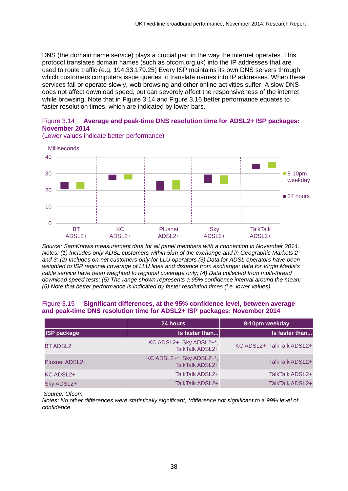DNS (the domain name service) plays a crucial part in the way the internet operates. This protocol translates domain names (such as ofcom.org.uk) into the IP addresses that are used to route traffic (e.g. 194.33.179.25) Every ISP maintains its own DNS servers through which customers computers issue queries to translate names into IP addresses. When these services fail or operate slowly, web browsing and other online activities suffer. A slow DNS does not affect download speed, but can severely affect the responsiveness of the internet while browsing. Note that in [Figure 3.14](#page-38-0) and [Figure 3.16](#page-39-0) better performance equates to faster resolution times, which are indicated by lower bars.

#### <span id="page-38-0"></span>Figure 3.14 **Average and peak-time DNS resolution time for ADSL2+ ISP packages: November 2014**



(Lower values indicate better performance)

*Source: SamKnows measurement data for all panel members with a connection in November 2014. Notes: (1) Includes only ADSL customers within 5km of the exchange and in Geographic Markets 2 and 3; (2) Includes on-net customers only for LLU operators (3) Data for ADSL operators have been weighted to ISP regional coverage of LLU lines and distance from exchange; data for Virgin Media's cable service have been weighted to regional coverage only; (4) Data collected from multi-thread download speed tests; (5) The range shown represents a 95% confidence interval around the mean; (6) Note that better performance is indicated by faster resolution times (i.e. lower values).*

#### Figure 3.15 **Significant differences, at the 95% confidence level, between average and peak-time DNS resolution time for ADSL2+ ISP packages: November 2014**

|                       | 24 hours                                    | 8-10pm weekday             |
|-----------------------|---------------------------------------------|----------------------------|
| <b>ISP package</b>    | Is faster than                              | Is faster than             |
| BT ADSL2+             | KC ADSL2+, Sky ADSL2+*,<br>TalkTalk ADSL2+  | KC ADSL2+, TalkTalk ADSL2+ |
| <b>Plusnet ADSL2+</b> | KC ADSL2+*, Sky ADSL2+*,<br>TalkTalk ADSL2+ | TalkTalk ADSL2+            |
| KC ADSL2+             | TalkTalk ADSL2+                             | TalkTalk ADSL2+            |
| Sky ADSL2+            | TalkTalk ADSL2+                             | TalkTalk ADSL2+            |

*Source: Ofcom*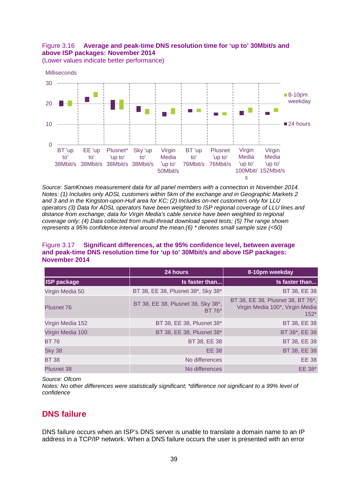## <span id="page-39-0"></span>Figure 3.16 **Average and peak-time DNS resolution time for 'up to' 30Mbit/s and above ISP packages: November 2014**

(Lower values indicate better performance)



*Source: SamKnows measurement data for all panel members with a connection in November 2014. Notes: (1) Includes only ADSL customers within 5km of the exchange and in Geographic Markets 2 and 3 and in the Kingston-upon-Hull area for KC; (2) Includes on-net customers only for LLU operators (3) Data for ADSL operators have been weighted to ISP regional coverage of LLU lines and distance from exchange; data for Virgin Media's cable service have been weighted to regional coverage only; (4) Data collected from multi-thread download speed tests; (5) The range shown represents a 95% confidence interval around the mean.(6) \* denotes small sample size (<50)*

#### Figure 3.17 **Significant differences, at the 95% confidence level, between average and peak-time DNS resolution time for 'up to' 30Mbit/s and above ISP packages: November 2014**

|                    | 24 hours                                     | 8-10pm weekday                                                                 |
|--------------------|----------------------------------------------|--------------------------------------------------------------------------------|
| <b>ISP package</b> | Is faster than                               | Is faster than                                                                 |
| Virgin Media 50    | BT 38, EE 38, Plusnet 38*, Sky 38*           | BT 38, EE 38                                                                   |
| Plusnet 76         | BT 38, EE 38, Plusnet 38, Sky 38*,<br>BT 76* | BT 38, EE 38, Plusnet 38, BT 76*,<br>Virgin Media 100*, Virgin Media<br>$152*$ |
| Virgin Media 152   | BT 38, EE 38, Plusnet 38*                    | BT 38, EE 38                                                                   |
| Virgin Media 100   | BT 38, EE 38, Plusnet 38*                    | BT 38*, EE 38                                                                  |
| <b>BT76</b>        | BT 38, EE 38                                 | BT 38, EE 38                                                                   |
| <b>Sky 38</b>      | <b>EE 38</b>                                 | BT 38, EE 38                                                                   |
| <b>BT38</b>        | No differences                               | <b>EE 38</b>                                                                   |
| <b>Plusnet 38</b>  | No differences                               | EE 38*                                                                         |

*Source: Ofcom*

*Notes: No other differences were statistically significant; \*difference not significant to a 99% level of confidence*

# **DNS failure**

DNS failure occurs when an ISP's DNS server is unable to translate a domain name to an IP address in a TCP/IP network. When a DNS failure occurs the user is presented with an error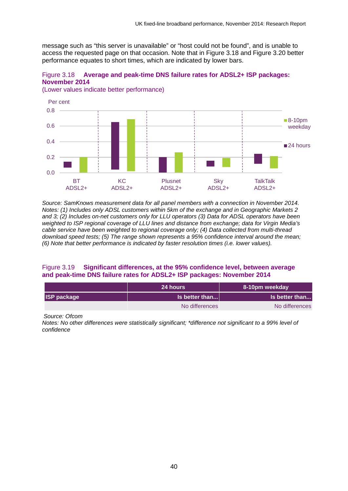message such as "this server is unavailable" or "host could not be found", and is unable to access the requested page on that occasion. Note that in [Figure 3.18](#page-40-0) and [Figure 3.20](#page-41-0) better performance equates to short times, which are indicated by lower bars.

<span id="page-40-0"></span>Figure 3.18 **Average and peak-time DNS failure rates for ADSL2+ ISP packages: November 2014**

(Lower values indicate better performance)



*Source: SamKnows measurement data for all panel members with a connection in November 2014. Notes: (1) Includes only ADSL customers within 5km of the exchange and in Geographic Markets 2 and 3; (2) Includes on-net customers only for LLU operators (3) Data for ADSL operators have been weighted to ISP regional coverage of LLU lines and distance from exchange; data for Virgin Media's cable service have been weighted to regional coverage only; (4) Data collected from multi-thread download speed tests; (5) The range shown represents a 95% confidence interval around the mean; (6) Note that better performance is indicated by faster resolution times (i.e. lower values).*

#### Figure 3.19 **Significant differences, at the 95% confidence level, between average and peak-time DNS failure rates for ADSL2+ ISP packages: November 2014**

|                    | <b>24 hours</b> | 8-10pm weekday |
|--------------------|-----------------|----------------|
| <b>ISP package</b> | Is better than  | Is better than |
|                    | No differences  | No differences |

*Source: Ofcom*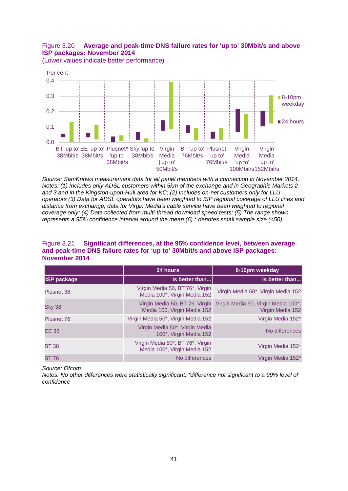#### <span id="page-41-0"></span>Figure 3.20 **Average and peak-time DNS failure rates for 'up to' 30Mbit/s and above ISP packages: November 2014**



(Lower values indicate better performance)

*Source: SamKnows measurement data for all panel members with a connection in November 2014. Notes: (1) Includes only ADSL customers within 5km of the exchange and in Geographic Markets 2 and 3 and in the Kingston-upon-Hull area for KC; (2) Includes on-net customers only for LLU operators (3) Data for ADSL operators have been weighted to ISP regional coverage of LLU lines and distance from exchange; data for Virgin Media's cable service have been weighted to regional coverage only; (4) Data collected from multi-thread download speed tests; (5) The range shown represents a 95% confidence interval around the mean.(6) \* denotes small sample size (<50)*

#### Figure 3.21 **Significant differences, at the 95% confidence level, between average and peak-time DNS failure rates for 'up to' 30Mbit/s and above ISP packages: November 2014**

|                    | 24 hours                                                         | 8-10pm weekday                                          |
|--------------------|------------------------------------------------------------------|---------------------------------------------------------|
| <b>ISP package</b> | Is better than                                                   | Is better than                                          |
| Plusnet 38         | Virgin Media 50, BT 76*, Virgin<br>Media 100*, Virgin Media 152  | Virgin Media 50*, Virgin Media 152                      |
| <b>Sky 38</b>      | Virgin Media 50, BT 76, Virgin<br>Media 100, Virgin Media 152    | Virgin Media 50, Virgin Media 100*,<br>Virgin Media 152 |
| <b>Plusnet 76</b>  | Virgin Media 50*, Virgin Media 152                               | Virgin Media 152*                                       |
| <b>EE 38</b>       | Virgin Media 50*, Virgin Media<br>100*, Virgin Media 152         | No differences                                          |
| <b>BT38</b>        | Virgin Media 50*, BT 76*, Virgin<br>Media 100*, Virgin Media 152 | Virgin Media 152*                                       |
| <b>BT 76</b>       | No differences                                                   | Virgin Media 152*                                       |

*Source: Ofcom*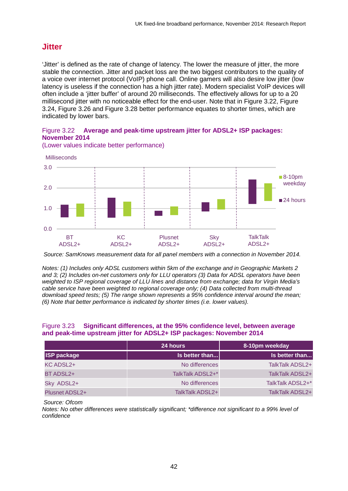## **Jitter**

'Jitter' is defined as the rate of change of latency. The lower the measure of jitter, the more stable the connection. Jitter and packet loss are the two biggest contributors to the quality of a voice over internet protocol (VoIP) phone call. Online gamers will also desire low jitter (low latency is useless if the connection has a high jitter rate). Modern specialist VoIP devices will often include a 'jitter buffer' of around 20 milliseconds. The effectively allows for up to a 20 millisecond jitter with no noticeable effect for the end-user. Note that in [Figure 3.22,](#page-42-0) [Figure](#page-43-0)  [3.24,](#page-43-0) [Figure 3.26](#page-44-0) and [Figure 3.28](#page-45-0) better performance equates to shorter times, which are indicated by lower bars.

#### <span id="page-42-0"></span>Figure 3.22 **Average and peak-time upstream jitter for ADSL2+ ISP packages: November 2014**



(Lower values indicate better performance)

*Source: SamKnows measurement data for all panel members with a connection in November 2014.*

*Notes: (1) Includes only ADSL customers within 5km of the exchange and in Geographic Markets 2 and 3; (2) Includes on-net customers only for LLU operators (3) Data for ADSL operators have been weighted to ISP regional coverage of LLU lines and distance from exchange; data for Virgin Media's cable service have been weighted to regional coverage only; (4) Data collected from multi-thread download speed tests; (5) The range shown represents a 95% confidence interval around the mean; (6) Note that better performance is indicated by shorter times (i.e. lower values).*

#### Figure 3.23 **Significant differences, at the 95% confidence level, between average and peak-time upstream jitter for ADSL2+ ISP packages: November 2014**

|                       | 24 hours         | 8-10pm weekday   |
|-----------------------|------------------|------------------|
| <b>ISP package</b>    | $ls$ better than | Is better than   |
| KC ADSL2+             | No differences   | TalkTalk ADSL2+  |
| BT ADSL2+             | TalkTalk ADSL2+* | TalkTalk ADSL2+  |
| Sky ADSL2+            | No differences   | TalkTalk ADSL2+* |
| <b>Plusnet ADSL2+</b> | TalkTalk ADSL2+  | TalkTalk ADSL2+  |

*Source: Ofcom*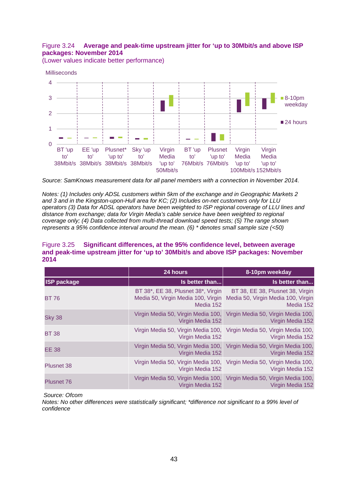### <span id="page-43-0"></span>Figure 3.24 **Average and peak-time upstream jitter for 'up to 30Mbit/s and above ISP packages: November 2014**

(Lower values indicate better performance)



*Source: SamKnows measurement data for all panel members with a connection in November 2014.*

*Notes: (1) Includes only ADSL customers within 5km of the exchange and in Geographic Markets 2 and 3 and in the Kingston-upon-Hull area for KC; (2) Includes on-net customers only for LLU operators (3) Data for ADSL operators have been weighted to ISP regional coverage of LLU lines and distance from exchange; data for Virgin Media's cable service have been weighted to regional coverage only; (4) Data collected from multi-thread download speed tests; (5) The range shown represents a 95% confidence interval around the mean. (6) \* denotes small sample size (<50)*

#### Figure 3.25 **Significant differences, at the 95% confidence level, between average and peak-time upstream jitter for 'up to' 30Mbit/s and above ISP packages: November 2014**

|                    | 24 hours                                                                              | 8-10pm weekday                                                                            |
|--------------------|---------------------------------------------------------------------------------------|-------------------------------------------------------------------------------------------|
| <b>ISP package</b> | Is better than                                                                        | Is better than                                                                            |
| <b>BT 76</b>       | BT 38*, EE 38, Plusnet 38*, Virgin<br>Media 50, Virgin Media 100, Virgin<br>Media 152 | BT 38, EE 38, Plusnet 38, Virgin<br>Media 50, Virgin Media 100, Virgin<br>Media 152       |
| <b>Sky 38</b>      | Virgin Media 50, Virgin Media 100,<br>Virgin Media 152                                | Virgin Media 50, Virgin Media 100,<br>Virgin Media 152                                    |
| <b>BT 38</b>       | Virgin Media 152                                                                      | Virgin Media 50, Virgin Media 100, Virgin Media 50, Virgin Media 100,<br>Virgin Media 152 |
| <b>EE 38</b>       | Virgin Media 50, Virgin Media 100,<br>Virgin Media 152                                | Virgin Media 50, Virgin Media 100,<br>Virgin Media 152                                    |
| <b>Plusnet 38</b>  | Virgin Media 50, Virgin Media 100,<br>Virgin Media 152                                | Virgin Media 50, Virgin Media 100,<br>Virgin Media 152                                    |
| <b>Plusnet 76</b>  | Virgin Media 50, Virgin Media 100,<br>Virgin Media 152                                | Virgin Media 50, Virgin Media 100,<br>Virgin Media 152                                    |

*Source: Ofcom*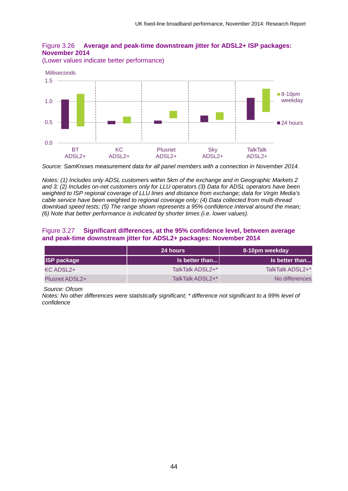<span id="page-44-0"></span>

(Lower values indicate better performance)



*Source: SamKnows measurement data for all panel members with a connection in November 2014.*

*Notes: (1) Includes only ADSL customers within 5km of the exchange and in Geographic Markets 2 and 3; (2) Includes on-net customers only for LLU operators (3) Data for ADSL operators have been weighted to ISP regional coverage of LLU lines and distance from exchange; data for Virgin Media's cable service have been weighted to regional coverage only; (4) Data collected from multi-thread download speed tests; (5) The range shown represents a 95% confidence interval around the mean; (6) Note that better performance is indicated by shorter times (i.e. lower values).*

#### Figure 3.27 **Significant differences, at the 95% confidence level, between average and peak-time downstream jitter for ADSL2+ packages: November 2014**

|                       | <b>24 hours</b>  | 8-10pm weekday   |
|-----------------------|------------------|------------------|
| <b>ISP package</b>    | Is better than   | Is better than   |
| KC ADSL2+             | TalkTalk ADSL2+* | TalkTalk ADSL2+* |
| <b>Plusnet ADSL2+</b> | TalkTalk ADSL2+* | No differences   |

*Source: Ofcom*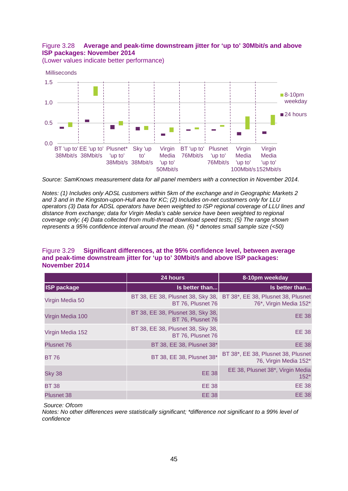#### <span id="page-45-0"></span>Figure 3.28 **Average and peak-time downstream jitter for 'up to' 30Mbit/s and above ISP packages: November 2014**

(Lower values indicate better performance)



*Source: SamKnows measurement data for all panel members with a connection in November 2014.*

*Notes: (1) Includes only ADSL customers within 5km of the exchange and in Geographic Markets 2 and 3 and in the Kingston-upon-Hull area for KC; (2) Includes on-net customers only for LLU operators (3) Data for ADSL operators have been weighted to ISP regional coverage of LLU lines and distance from exchange; data for Virgin Media's cable service have been weighted to regional coverage only; (4) Data collected from multi-thread download speed tests; (5) The range shown represents a 95% confidence interval around the mean. (6) \* denotes small sample size (<50)*

#### Figure 3.29 **Significant differences, at the 95% confidence level, between average and peak-time downstream jitter for 'up to' 30Mbit/s and above ISP packages: November 2014**

|                    | 24 hours                                               | 8-10pm weekday                                               |
|--------------------|--------------------------------------------------------|--------------------------------------------------------------|
| <b>ISP package</b> | Is better than                                         | Is better than                                               |
| Virgin Media 50    | BT 38, EE 38, Plusnet 38, Sky 38,<br>BT 76, Plusnet 76 | BT 38*, EE 38, Plusnet 38, Plusnet<br>76*, Virgin Media 152* |
| Virgin Media 100   | BT 38, EE 38, Plusnet 38, Sky 38,<br>BT 76, Plusnet 76 | <b>EE 38</b>                                                 |
| Virgin Media 152   | BT 38, EE 38, Plusnet 38, Sky 38,<br>BT 76, Plusnet 76 | <b>EE 38</b>                                                 |
| <b>Plusnet 76</b>  | BT 38, EE 38, Plusnet 38*                              | <b>EE 38</b>                                                 |
| <b>BT 76</b>       | BT 38, EE 38, Plusnet 38*                              | BT 38*, EE 38, Plusnet 38, Plusnet<br>76, Virgin Media 152*  |
| <b>Sky 38</b>      | <b>EE 38</b>                                           | EE 38, Plusnet 38*, Virgin Media<br>$152*$                   |
| <b>BT38</b>        | <b>EE 38</b>                                           | <b>EE 38</b>                                                 |
| <b>Plusnet 38</b>  | <b>EE 38</b>                                           | <b>EE 38</b>                                                 |

*Source: Ofcom*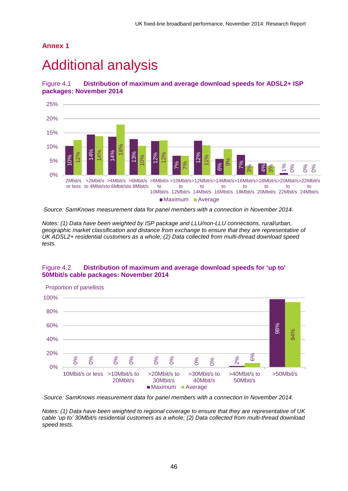## **Annex 1**

# **Additional analysis**

Figure 4.1 **Distribution of maximum and average download speeds for ADSL2+ ISP packages: November 2014**



*Source: SamKnows measurement data for panel members with a connection in November 2014.*

*Notes: (1) Data have been weighted by ISP package and LLU/non-LLU connections, rural/urban, geographic market classification and distance from exchange to ensure that they are representative of UK ADSL2+ residential customers as a whole; (2) Data collected from multi-thread download speed tests.*

#### Figure 4.2 **Distribution of maximum and average download speeds for 'up to' 50Mbit/s cable packages: November 2014**



*Source: SamKnows measurement data for panel members with a connection in November 2014.* 

*Notes: (1) Data have been weighted to regional coverage to ensure that they are representative of UK cable 'up to' 30Mbit/s residential customers as a whole; (2) Data collected from multi-thread download*  speed tests.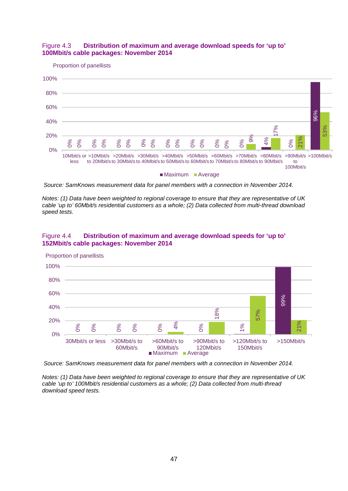

Proportion of panellists



*Source: SamKnows measurement data for panel members with a connection in November 2014.* 

*Notes: (1) Data have been weighted to regional coverage to ensure that they are representative of UK cable 'up to' 60Mbit/s residential customers as a whole; (2) Data collected from multi-thread download speed tests.*

#### Figure 4.4 **Distribution of maximum and average download speeds for 'up to' 152Mbit/s cable packages: November 2014**



Proportion of panellists

*Source: SamKnows measurement data for panel members with a connection in November 2014.* 

*Notes: (1) Data have been weighted to regional coverage to ensure that they are representative of UK cable 'up to' 100Mbit/s residential customers as a whole; (2) Data collected from multi-thread*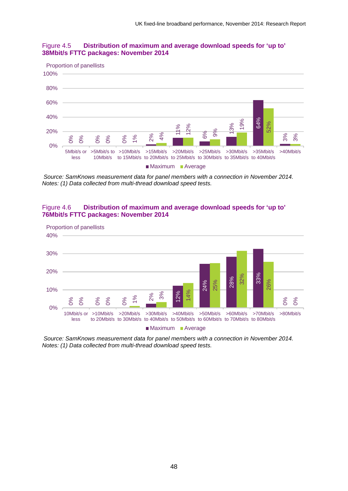



*Source: SamKnows measurement data for panel members with a connection in November 2014. Notes: (1) Data collected from multi-thread download speed tests.*

#### Figure 4.6 **Distribution of maximum and average download speeds for 'up to' 76Mbit/s FTTC packages: November 2014**



*Source: SamKnows measurement data for panel members with a connection in November 2014.*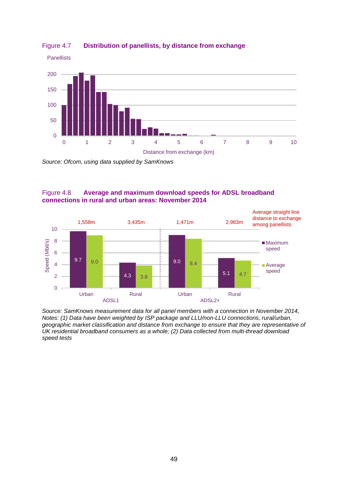

#### Figure 4.7 **Distribution of panellists, by distance from exchange**

*Source: Ofcom, using data supplied by SamKnows*

#### Figure 4.8 **Average and maximum download speeds for ADSL broadband connections in rural and urban areas: November 2014**



*Source: SamKnows measurement data for all panel members with a connection in November 2014, Notes: (1) Data have been weighted by ISP package and LLU/non-LLU connections, rural/urban, geographic market classification and distance from exchange to ensure that they are representative of UK residential broadband consumers as a whole; (2) Data collected from multi-thread download speed tests*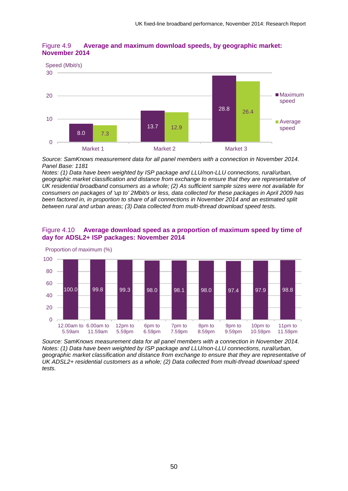



*Source: SamKnows measurement data for all panel members with a connection in November 2014. Panel Base: 1181*

*Notes: (1) Data have been weighted by ISP package and LLU/non-LLU connections, rural/urban, geographic market classification and distance from exchange to ensure that they are representative of UK residential broadband consumers as a whole; (2) As sufficient sample sizes were not available for consumers on packages of 'up to' 2Mbit/s or less, data collected for these packages in April 2009 has been factored in, in proportion to share of all connections in November 2014 and an estimated split between rural and urban areas; (3) Data collected from multi-thread download speed tests.*





*Source: SamKnows measurement data for all panel members with a connection in November 2014. Notes: (1) Data have been weighted by ISP package and LLU/non-LLU connections, rural/urban, geographic market classification and distance from exchange to ensure that they are representative of UK ADSL2+ residential customers as a whole; (2) Data collected from multi-thread download speed tests.*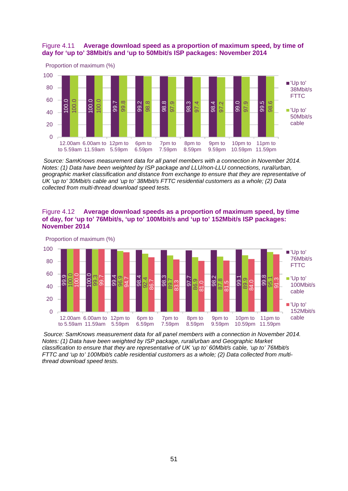#### Figure 4.11 **Average download speed as a proportion of maximum speed, by time of day for 'up to' 38Mbit/s and 'up to 50Mbit/s ISP packages: November 2014**



*Source: SamKnows measurement data for all panel members with a connection in November 2014. Notes: (1) Data have been weighted by ISP package and LLU/non-LLU connections, rural/urban, geographic market classification and distance from exchange to ensure that they are representative of UK 'up to' 30Mbit/s cable and 'up to' 38Mbit/s FTTC residential customers as a whole; (2) Data collected from multi-thread download speed tests.*

#### Figure 4.12 **Average download speeds as a proportion of maximum speed, by time of day, for 'up to' 76Mbit/s, 'up to' 100Mbit/s and 'up to' 152Mbit/s ISP packages: November 2014**



*Source: SamKnows measurement data for all panel members with a connection in November 2014. Notes: (1) Data have been weighted by ISP package, rural/urban and Geographic Market classification to ensure that they are representative of UK 'up to' 60Mbit/s cable, 'up to' 76Mbit/s FTTC and 'up to' 100Mbit/s cable residential customers as a whole; (2) Data collected from multithread download speed tests.*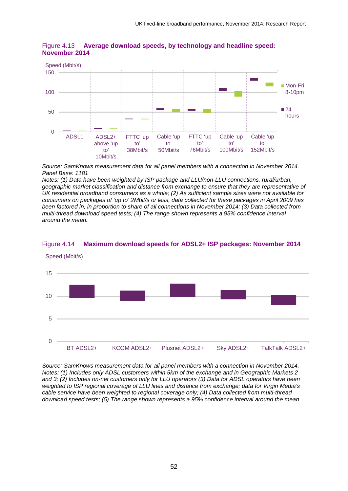

Figure 4.13 **Average download speeds, by technology and headline speed: November 2014**

*Source: SamKnows measurement data for all panel members with a connection in November 2014. Panel Base: 1181*

*Notes: (1) Data have been weighted by ISP package and LLU/non-LLU connections, rural/urban, geographic market classification and distance from exchange to ensure that they are representative of UK residential broadband consumers as a whole; (2) As sufficient sample sizes were not available for consumers on packages of 'up to' 2Mbit/s or less, data collected for these packages in April 2009 has been factored in, in proportion to share of all connections in November 2014; (3) Data collected from multi-thread download speed tests; (4) The range shown represents a 95% confidence interval around the mean.*



#### Figure 4.14 **Maximum download speeds for ADSL2+ ISP packages: November 2014**

*Source: SamKnows measurement data for all panel members with a connection in November 2014. Notes: (1) Includes only ADSL customers within 5km of the exchange and in Geographic Markets 2 and 3; (2) Includes on-net customers only for LLU operators (3) Data for ADSL operators have been weighted to ISP regional coverage of LLU lines and distance from exchange; data for Virgin Media's cable service have been weighted to regional coverage only; (4) Data collected from multi-thread download speed tests; (5) The range shown represents a 95% confidence interval around the mean.*

52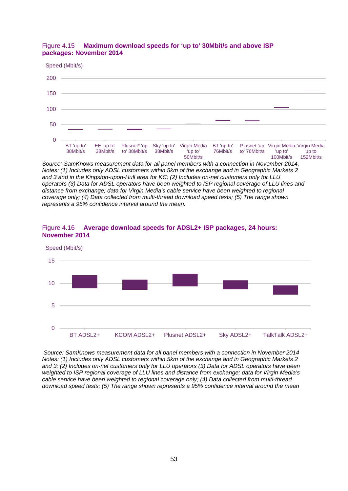#### Figure 4.15 **Maximum download speeds for 'up to' 30Mbit/s and above ISP packages: November 2014**



*Source: SamKnows measurement data for all panel members with a connection in November 2014. Notes: (1) Includes only ADSL customers within 5km of the exchange and in Geographic Markets 2 and 3 and in the Kingston-upon-Hull area for KC; (2) Includes on-net customers only for LLU operators (3) Data for ADSL operators have been weighted to ISP regional coverage of LLU lines and distance from exchange; data for Virgin Media's cable service have been weighted to regional coverage only; (4) Data collected from multi-thread download speed tests; (5) The range shown represents a 95% confidence interval around the mean.*



#### Figure 4.16 **Average download speeds for ADSL2+ ISP packages, 24 hours: November 2014**

*Source: SamKnows measurement data for all panel members with a connection in November 2014 Notes: (1) Includes only ADSL customers within 5km of the exchange and in Geographic Markets 2 and 3; (2) Includes on-net customers only for LLU operators (3) Data for ADSL operators have been weighted to ISP regional coverage of LLU lines and distance from exchange; data for Virgin Media's cable service have been weighted to regional coverage only; (4) Data collected from multi-thread download speed tests; (5) The range shown represents a 95% confidence interval around the mean*

BT ADSL2+ KCOM ADSL2+ Plusnet ADSL2+ Sky ADSL2+ TalkTalk ADSL2+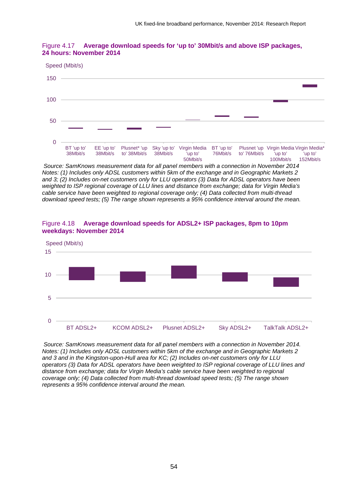

#### Figure 4.17 **Average download speeds for 'up to' 30Mbit/s and above ISP packages, 24 hours: November 2014**

*Source: SamKnows measurement data for all panel members with a connection in November 2014 Notes: (1) Includes only ADSL customers within 5km of the exchange and in Geographic Markets 2 and 3; (2) Includes on-net customers only for LLU operators (3) Data for ADSL operators have been weighted to ISP regional coverage of LLU lines and distance from exchange; data for Virgin Media's cable service have been weighted to regional coverage only; (4) Data collected from multi-thread download speed tests; (5) The range shown represents a 95% confidence interval around the mean.*



#### Figure 4.18 **Average download speeds for ADSL2+ ISP packages, 8pm to 10pm weekdays: November 2014**

*Source: SamKnows measurement data for all panel members with a connection in November 2014. Notes: (1) Includes only ADSL customers within 5km of the exchange and in Geographic Markets 2 and 3 and in the Kingston-upon-Hull area for KC; (2) Includes on-net customers only for LLU operators (3) Data for ADSL operators have been weighted to ISP regional coverage of LLU lines and distance from exchange; data for Virgin Media's cable service have been weighted to regional coverage only; (4) Data collected from multi-thread download speed tests; (5) The range shown represents a 95% confidence interval around the mean.*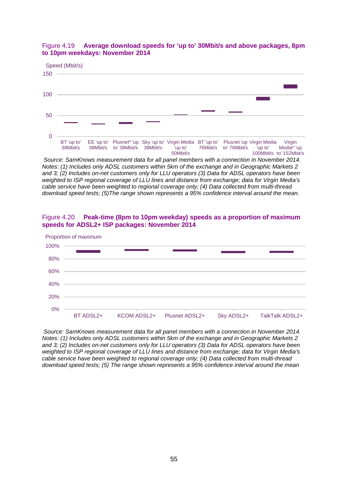

#### Figure 4.19 **Average download speeds for 'up to' 30Mbit/s and above packages, 8pm to 10pm weekdays: November 2014**

*Source: SamKnows measurement data for all panel members with a connection in November 2014. Notes: (1) Includes only ADSL customers within 5km of the exchange and in Geographic Markets 2 and 3; (2) Includes on-net customers only for LLU operators (3) Data for ADSL operators have been weighted to ISP regional coverage of LLU lines and distance from exchange; data for Virgin Media's cable service have been weighted to regional coverage only; (4) Data collected from multi-thread download speed tests; (5)The range shown represents a 95% confidence interval around the mean.*

#### Figure 4.20 **Peak-time (8pm to 10pm weekday) speeds as a proportion of maximum speeds for ADSL2+ ISP packages: November 2014**



*Source: SamKnows measurement data for all panel members with a connection in November 2014. Notes: (1) Includes only ADSL customers within 5km of the exchange and in Geographic Markets 2 and 3; (2) Includes on-net customers only for LLU operators (3) Data for ADSL operators have been weighted to ISP regional coverage of LLU lines and distance from exchange; data for Virgin Media's cable service have been weighted to regional coverage only; (4) Data collected from multi-thread download speed tests; (5) The range shown represents a 95% confidence interval around the mean*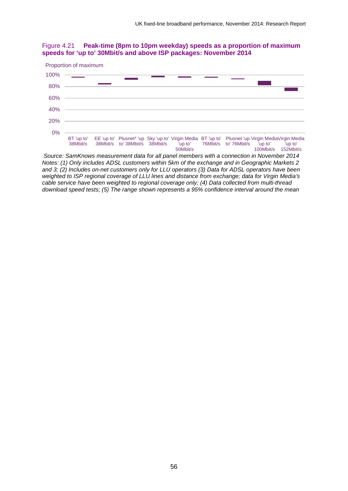



*Source: SamKnows measurement data for all panel members with a connection in November 2014 Notes: (1) Only includes ADSL customers within 5km of the exchange and in Geographic Markets 2 and 3; (2) Includes on-net customers only for LLU operators (3) Data for ADSL operators have been weighted to ISP regional coverage of LLU lines and distance from exchange; data for Virgin Media's cable service have been weighted to regional coverage only; (4) Data collected from multi-thread download speed tests; (5) The range shown represents a 95% confidence interval around the mean*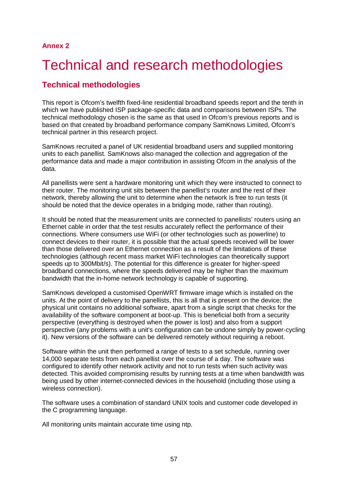# 2 Technical and research methodologies

# **Technical methodologies**

This report is Ofcom's twelfth fixed-line residential broadband speeds report and the tenth in which we have published ISP package-specific data and comparisons between ISPs. The technical methodology chosen is the same as that used in Ofcom's previous reports and is based on that created by broadband performance company SamKnows Limited, Ofcom's technical partner in this research project.

SamKnows recruited a panel of UK residential broadband users and supplied monitoring units to each panellist. SamKnows also managed the collection and aggregation of the performance data and made a major contribution in assisting Ofcom in the analysis of the data.

All panellists were sent a hardware monitoring unit which they were instructed to connect to their router. The monitoring unit sits between the panellist's router and the rest of their network, thereby allowing the unit to determine when the network is free to run tests (it should be noted that the device operates in a bridging mode, rather than routing).

It should be noted that the measurement units are connected to panellists' routers using an Ethernet cable in order that the test results accurately reflect the performance of their connections. Where consumers use WiFi (or other technologies such as powerline) to connect devices to their router, it is possible that the actual speeds received will be lower than those delivered over an Ethernet connection as a result of the limitations of these technologies (although recent mass market WiFi technologies can theoretically support speeds up to 300Mbit/s). The potential for this difference is greater for higher-speed broadband connections, where the speeds delivered may be higher than the maximum bandwidth that the in-home network technology is capable of supporting.

SamKnows developed a customised OpenWRT firmware image which is installed on the units. At the point of delivery to the panellists, this is all that is present on the device; the physical unit contains no additional software, apart from a single script that checks for the availability of the software component at boot-up. This is beneficial both from a security perspective (everything is destroyed when the power is lost) and also from a support perspective (any problems with a unit's configuration can be undone simply by power-cycling it). New versions of the software can be delivered remotely without requiring a reboot.

Software within the unit then performed a range of tests to a set schedule, running over 14,000 separate tests from each panellist over the course of a day. The software was configured to identify other network activity and not to run tests when such activity was detected. This avoided compromising results by running tests at a time when bandwidth was being used by other internet-connected devices in the household (including those using a wireless connection).

The software uses a combination of standard UNIX tools and customer code developed in the C programming language.

All monitoring units maintain accurate time using ntp.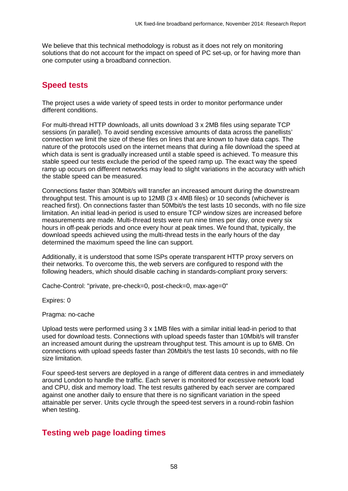We believe that this technical methodology is robust as it does not rely on monitoring solutions that do not account for the impact on speed of PC set-up, or for having more than one computer using a broadband connection.

# **Speed tests**

The project uses a wide variety of speed tests in order to monitor performance under different conditions.

For multi-thread HTTP downloads, all units download 3 x 2MB files using separate TCP sessions (in parallel). To avoid sending excessive amounts of data across the panellists' connection we limit the size of these files on lines that are known to have data caps. The nature of the protocols used on the internet means that during a file download the speed at which data is sent is gradually increased until a stable speed is achieved. To measure this stable speed our tests exclude the period of the speed ramp up. The exact way the speed ramp up occurs on different networks may lead to slight variations in the accuracy with which the stable speed can be measured.

Connections faster than 30Mbit/s will transfer an increased amount during the downstream throughput test. This amount is up to 12MB (3 x 4MB files) or 10 seconds (whichever is reached first). On connections faster than 50Mbit/s the test lasts 10 seconds, with no file size limitation. An initial lead-in period is used to ensure TCP window sizes are increased before measurements are made. Multi-thread tests were run nine times per day, once every six hours in off-peak periods and once every hour at peak times. We found that, typically, the download speeds achieved using the multi-thread tests in the early hours of the day determined the maximum speed the line can support.

Additionally, it is understood that some ISPs operate transparent HTTP proxy servers on their networks. To overcome this, the web servers are configured to respond with the following headers, which should disable caching in standards-compliant proxy servers:

Cache-Control: "private, pre-check=0, post-check=0, max-age=0"

Expires: 0

Pragma: no-cache

Upload tests were performed using 3 x 1MB files with a similar initial lead-in period to that used for download tests. Connections with upload speeds faster than 10Mbit/s will transfer an increased amount during the upstream throughput test. This amount is up to 6MB. On connections with upload speeds faster than 20Mbit/s the test lasts 10 seconds, with no file size limitation.

Four speed-test servers are deployed in a range of different data centres in and immediately around London to handle the traffic. Each server is monitored for excessive network load and CPU, disk and memory load. The test results gathered by each server are compared against one another daily to ensure that there is no significant variation in the speed attainable per server. Units cycle through the speed-test servers in a round-robin fashion when testing.

## **Testing web page loading times**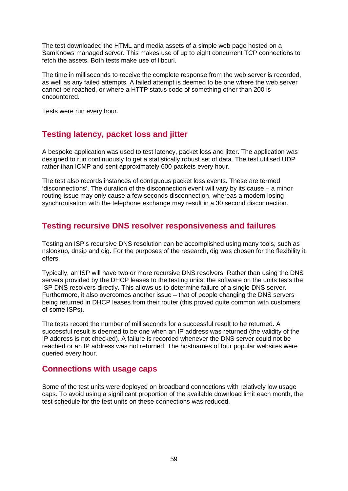The test downloaded the HTML and media assets of a simple web page hosted on a SamKnows managed server. This makes use of up to eight concurrent TCP connections to fetch the assets. Both tests make use of libcurl.

The time in milliseconds to receive the complete response from the web server is recorded, as well as any failed attempts. A failed attempt is deemed to be one where the web server cannot be reached, or where a HTTP status code of something other than 200 is encountered.

Tests were run every hour.

# **Testing latency, packet loss and jitter**

A bespoke application was used to test latency, packet loss and jitter. The application was designed to run continuously to get a statistically robust set of data. The test utilised UDP rather than ICMP and sent approximately 600 packets every hour.

The test also records instances of contiguous packet loss events. These are termed 'disconnections'. The duration of the disconnection event will vary by its cause – a minor routing issue may only cause a few seconds disconnection, whereas a modem losing synchronisation with the telephone exchange may result in a 30 second disconnection.

# **Testing recursive DNS resolver responsiveness and failures**

Testing an ISP's recursive DNS resolution can be accomplished using many tools, such as nslookup, dnsip and dig. For the purposes of the research, dig was chosen for the flexibility it offers.

Typically, an ISP will have two or more recursive DNS resolvers. Rather than using the DNS servers provided by the DHCP leases to the testing units, the software on the units tests the ISP DNS resolvers directly. This allows us to determine failure of a single DNS server. Furthermore, it also overcomes another issue – that of people changing the DNS servers being returned in DHCP leases from their router (this proved quite common with customers of some ISPs).

The tests record the number of milliseconds for a successful result to be returned. A successful result is deemed to be one when an IP address was returned (the validity of the IP address is not checked). A failure is recorded whenever the DNS server could not be reached or an IP address was not returned. The hostnames of four popular websites were queried every hour.

# **Connections with usage caps**

Some of the test units were deployed on broadband connections with relatively low usage caps. To avoid using a significant proportion of the available download limit each month, the test schedule for the test units on these connections was reduced.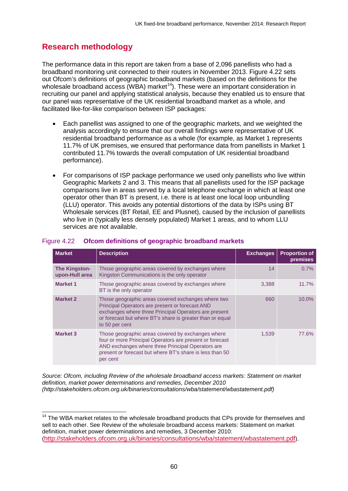# **Research methodology**

The performance data in this report are taken from a base of 2,096 panellists who had a broadband monitoring unit connected to their routers in November 2013. [Figure 4.22](#page-60-0) sets out Ofcom's definitions of geographic broadband markets (based on the definitions for the wholesale broadband access (WBA) market<sup>[14](#page-60-1)</sup>). These were an important consideration in recruiting our panel and applying statistical analysis, because they enabled us to ensure that our panel was representative of the UK residential broadband market as a whole, and facilitated like-for-like comparison between ISP packages:

- Each panellist was assigned to one of the geographic markets, and we weighted the analysis accordingly to ensure that our overall findings were representative of UK residential broadband performance as a whole (for example, as Market 1 represents 11.7% of UK premises, we ensured that performance data from panellists in Market 1 contributed 11.7% towards the overall computation of UK residential broadband performance).
- For comparisons of ISP package performance we used only panellists who live within Geographic Markets 2 and 3. This means that all panellists used for the ISP package comparisons live in areas served by a local telephone exchange in which at least one operator other than BT is present, i.e. there is at least one local loop unbundling (LLU) operator. This avoids any potential distortions of the data by ISPs using BT Wholesale services (BT Retail, EE and Plusnet), caused by the inclusion of panellists who live in (typically less densely populated) Market 1 areas, and to whom LLU services are not available.

| <b>Market</b>                          | <b>Description</b>                                                                                                                                                                                                                            | <b>Exchanges</b> | <b>Proportion of</b><br>premises |
|----------------------------------------|-----------------------------------------------------------------------------------------------------------------------------------------------------------------------------------------------------------------------------------------------|------------------|----------------------------------|
| <b>The Kingston-</b><br>upon-Hull area | Those geographic areas covered by exchanges where<br>Kingston Communications is the only operator                                                                                                                                             | 14               | 0.7%                             |
| <b>Market 1</b>                        | Those geographic areas covered by exchanges where<br>BT is the only operator                                                                                                                                                                  | 3.388            | $11.7\%$                         |
| <b>Market 2</b>                        | Those geographic areas covered exchanges where two<br>Principal Operators are present or forecast AND<br>exchanges where three Principal Operators are present<br>or forecast but where BT's share is greater than or equal<br>to 50 per cent | 660              | $10.0\%$                         |
| <b>Market 3</b>                        | Those geographic areas covered by exchanges where<br>four or more Principal Operators are present or forecast<br>AND exchanges where three Principal Operators are<br>present or forecast but where BT's share is less than 50<br>per cent    | 1,539            | 77.6%                            |

#### <span id="page-60-0"></span>Figure 4.22 **Ofcom definitions of geographic broadband markets**

*Source: Ofcom, including Review of the wholesale broadband access markets: Statement on market definition, market power determinations and remedies, December 2010 (http://stakeholders.ofcom.org.uk/binaries/consultations/wba/statement/wbastatement.pdf)*

<span id="page-60-1"></span><sup>&</sup>lt;sup>14</sup> The WBA market relates to the wholesale broadband products that CPs provide for themselves and sell to each other. See Review of the wholesale broadband access markets: Statement on market definition, market power determinations and remedies, 3 December 2010: [\(http://stakeholders.ofcom.org.uk/binaries/consultations/wba/statement/wbastatement.pdf\)](http://stakeholders.ofcom.org.uk/binaries/consultations/wba/statement/wbastatement.pdf).  $\overline{a}$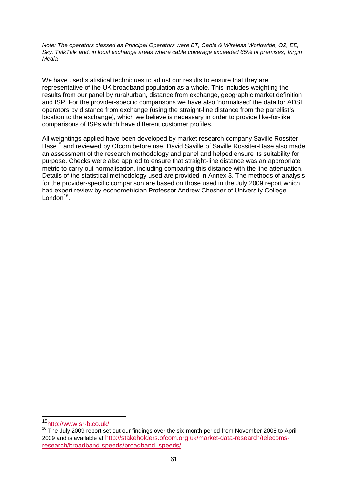*Note: The operators classed as Principal Operators were BT, Cable & Wireless Worldwide, O2, EE, Sky, TalkTalk and, in local exchange areas where cable coverage exceeded 65% of premises, Virgin Media*

We have used statistical techniques to adjust our results to ensure that they are representative of the UK broadband population as a whole. This includes weighting the results from our panel by rural/urban, distance from exchange, geographic market definition and ISP. For the provider-specific comparisons we have also 'normalised' the data for ADSL operators by distance from exchange (using the straight-line distance from the panellist's location to the exchange), which we believe is necessary in order to provide like-for-like comparisons of ISPs which have different customer profiles.

All weightings applied have been developed by market research company Saville Rossiter-Base<sup>[15](#page-61-0)</sup> and reviewed by Ofcom before use. David Saville of Saville Rossiter-Base also made an assessment of the research methodology and panel and helped ensure its suitability for purpose. Checks were also applied to ensure that straight-line distance was an appropriate metric to carry out normalisation, including comparing this distance with the line attenuation. Details of the statistical methodology used are provided in Annex 3. The methods of analysis for the provider-specific comparison are based on those used in the July 2009 report which had expert review by econometrician Professor Andrew Chesher of University College London $16$ .

<span id="page-61-0"></span><sup>&</sup>lt;sup>15</sup>http://www.sr-b.co.uk/

<span id="page-61-1"></span><sup>&</sup>lt;sup>16</sup> The July 2009 report set out our findings over the six-month period from November 2008 to April 2009 and is available at [http://stakeholders.ofcom.org.uk/market-data-research/telecoms](http://stakeholders.ofcom.org.uk/market-data-research/telecoms-research/broadband-speeds/broadband_speeds/)[research/broadband-speeds/broadband\\_speeds/](http://stakeholders.ofcom.org.uk/market-data-research/telecoms-research/broadband-speeds/broadband_speeds/)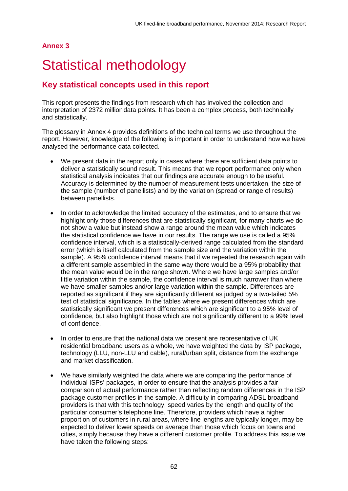#### **Annex 3**

# Statistical methodology

# **Key statistical concepts used in this report**

This report presents the findings from research which has involved the collection and interpretation of 2372 milliondata points. It has been a complex process, both technically and statistically.

The glossary in Annex 4 provides definitions of the technical terms we use throughout the report. However, knowledge of the following is important in order to understand how we have analysed the performance data collected.

- We present data in the report only in cases where there are sufficient data points to deliver a statistically sound result. This means that we report performance only when statistical analysis indicates that our findings are accurate enough to be useful. Accuracy is determined by the number of measurement tests undertaken, the size of the sample (number of panellists) and by the variation (spread or range of results) between panellists.
- In order to acknowledge the limited accuracy of the estimates, and to ensure that we highlight only those differences that are statistically significant, for many charts we do not show a value but instead show a range around the mean value which indicates the statistical confidence we have in our results. The range we use is called a 95% confidence interval, which is a statistically-derived range calculated from the standard error (which is itself calculated from the sample size and the variation within the sample). A 95% confidence interval means that if we repeated the research again with a different sample assembled in the same way there would be a 95% probability that the mean value would be in the range shown. Where we have large samples and/or little variation within the sample, the confidence interval is much narrower than where we have smaller samples and/or large variation within the sample. Differences are reported as significant if they are significantly different as judged by a two-tailed 5% test of statistical significance. In the tables where we present differences which are statistically significant we present differences which are significant to a 95% level of confidence, but also highlight those which are not significantly different to a 99% level of confidence.
- In order to ensure that the national data we present are representative of UK residential broadband users as a whole, we have weighted the data by ISP package, technology (LLU, non-LLU and cable), rural/urban split, distance from the exchange and market classification.
- We have similarly weighted the data where we are comparing the performance of individual ISPs' packages, in order to ensure that the analysis provides a fair comparison of actual performance rather than reflecting random differences in the ISP package customer profiles in the sample. A difficulty in comparing ADSL broadband providers is that with this technology, speed varies by the length and quality of the particular consumer's telephone line. Therefore, providers which have a higher proportion of customers in rural areas, where line lengths are typically longer, may be expected to deliver lower speeds on average than those which focus on towns and cities, simply because they have a different customer profile. To address this issue we have taken the following steps: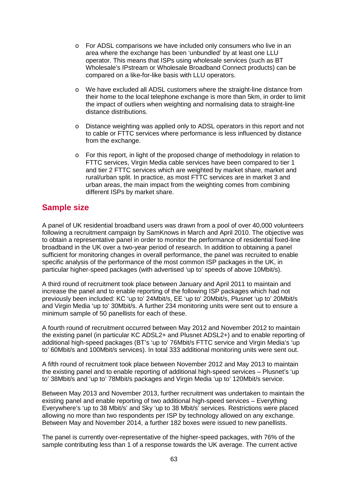- $\circ$  For ADSL comparisons we have included only consumers who live in an area where the exchange has been 'unbundled' by at least one LLU operator. This means that ISPs using wholesale services (such as BT Wholesale's IPstream or Wholesale Broadband Connect products) can be compared on a like-for-like basis with LLU operators.
- o We have excluded all ADSL customers where the straight-line distance from their home to the local telephone exchange is more than 5km, in order to limit the impact of outliers when weighting and normalising data to straight-line distance distributions.
- o Distance weighting was applied only to ADSL operators in this report and not to cable or FTTC services where performance is less influenced by distance from the exchange.
- $\circ$  For this report, in light of the proposed change of methodology in relation to FTTC services, Virgin Media cable services have been compared to tier 1 and tier 2 FTTC services which are weighted by market share, market and rural/urban split. In practice, as most FTTC services are in market 3 and urban areas, the main impact from the weighting comes from combining different ISPs by market share.

# **Sample size**

A panel of UK residential broadband users was drawn from a pool of over 40,000 volunteers following a recruitment campaign by SamKnows in March and April 2010. The objective was to obtain a representative panel in order to monitor the performance of residential fixed-line broadband in the UK over a two-year period of research. In addition to obtaining a panel sufficient for monitoring changes in overall performance, the panel was recruited to enable specific analysis of the performance of the most common ISP packages in the UK, in particular higher-speed packages (with advertised 'up to' speeds of above 10Mbit/s).

A third round of recruitment took place between January and April 2011 to maintain and increase the panel and to enable reporting of the following ISP packages which had not previously been included: KC 'up to' 24Mbit/s, EE 'up to' 20Mbit/s, Plusnet 'up to' 20Mbit/s and Virgin Media 'up to' 30Mbit/s. A further 234 monitoring units were sent out to ensure a minimum sample of 50 panellists for each of these.

A fourth round of recruitment occurred between May 2012 and November 2012 to maintain the existing panel (in particular KC ADSL2+ and Plusnet ADSL2+) and to enable reporting of additional high-speed packages (BT's 'up to' 76Mbit/s FTTC service and Virgin Media's 'up to' 60Mbit/s and 100Mbit/s services). In total 333 additional monitoring units were sent out.

A fifth round of recruitment took place between November 2012 and May 2013 to maintain the existing panel and to enable reporting of additional high-speed services – Plusnet's 'up to' 38Mbit/s and 'up to' 78Mbit/s packages and Virgin Media 'up to' 120Mbit/s service.

Between May 2013 and November 2013, further recruitment was undertaken to maintain the existing panel and enable reporting of two additional high-speed services – Everything Everywhere's 'up to 38 Mbit/s' and Sky 'up to 38 Mbit/s' services. Restrictions were placed allowing no more than two respondents per ISP by technology allowed on any exchange. Between May and November 2014, a further 182 boxes were issued to new panellists.

The panel is currently over-representative of the higher-speed packages, with 76% of the sample contributing less than 1 of a response towards the UK average. The current active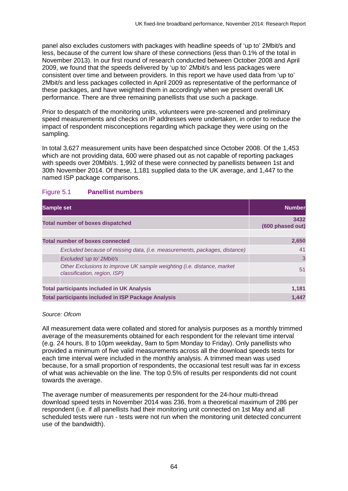panel also excludes customers with packages with headline speeds of 'up to' 2Mbit/s and less, because of the current low share of these connections (less than 0.1% of the total in November 2013). In our first round of research conducted between October 2008 and April 2009, we found that the speeds delivered by 'up to' 2Mbit/s and less packages were consistent over time and between providers. In this report we have used data from 'up to' 2Mbit/s and less packages collected in April 2009 as representative of the performance of these packages, and have weighted them in accordingly when we present overall UK performance. There are three remaining panellists that use such a package.

Prior to despatch of the monitoring units, volunteers were pre-screened and preliminary speed measurements and checks on IP addresses were undertaken, in order to reduce the impact of respondent misconceptions regarding which package they were using on the sampling.

In total 3,627 measurement units have been despatched since October 2008. Of the 1,453 which are not providing data, 600 were phased out as not capable of reporting packages with speeds over 20Mbit/s. 1,992 of these were connected by panellists between 1st and 30th November 2014. Of these, 1,181 supplied data to the UK average, and 1,447 to the named ISP package comparisons.

| <b>Sample set</b>                                                                                      | <b>Number</b>            |
|--------------------------------------------------------------------------------------------------------|--------------------------|
| <b>Total number of boxes dispatched</b>                                                                | 3432<br>(600 phased out) |
| <b>Total number of boxes connected</b>                                                                 | 2,650                    |
| Excluded because of missing data, (i.e. measurements, packages, distance)                              | 41                       |
| Excluded 'up to' 2Mbit/s                                                                               | 3                        |
| Other Exclusions to improve UK sample weighting (i.e. distance, market<br>classification, region, ISP) | 51                       |
|                                                                                                        |                          |
| <b>Total participants included in UK Analysis</b>                                                      | 1,181                    |
| <b>Total participants included in ISP Package Analysis</b>                                             | 1.447                    |

#### Figure 5.1 **Panellist numbers**

*Source: Ofcom*

All measurement data were collated and stored for analysis purposes as a monthly trimmed average of the measurements obtained for each respondent for the relevant time interval (e.g. 24 hours, 8 to 10pm weekday, 9am to 5pm Monday to Friday). Only panellists who provided a minimum of five valid measurements across all the download speeds tests for each time interval were included in the monthly analysis. A trimmed mean was used because, for a small proportion of respondents, the occasional test result was far in excess of what was achievable on the line. The top 0.5% of results per respondents did not count towards the average.

The average number of measurements per respondent for the 24-hour multi-thread download speed tests in November 2014 was 236, from a theoretical maximum of 286 per respondent (i.e. if all panellists had their monitoring unit connected on 1st May and all scheduled tests were run - tests were not run when the monitoring unit detected concurrent use of the bandwidth).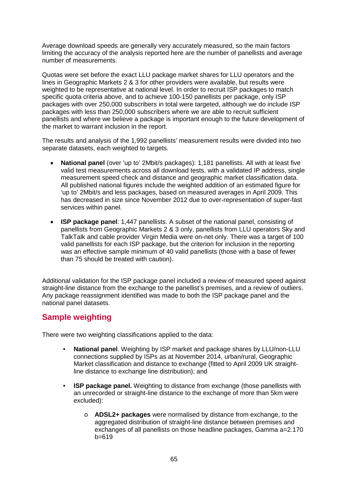Average download speeds are generally very accurately measured, so the main factors limiting the accuracy of the analysis reported here are the number of panellists and average number of measurements.

Quotas were set before the exact LLU package market shares for LLU operators and the lines in Geographic Markets 2 & 3 for other providers were available, but results were weighted to be representative at national level. In order to recruit ISP packages to match specific quota criteria above, and to achieve 100-150 panellists per package, only ISP packages with over 250,000 subscribers in total were targeted, although we do include ISP packages with less than 250,000 subscribers where we are able to recruit sufficient panellists and where we believe a package is important enough to the future development of the market to warrant inclusion in the report.

The results and analysis of the 1,992 panellists' measurement results were divided into two separate datasets, each weighted to targets.

- **National panel** (over 'up to' 2Mbit/s packages): 1,181 panellists. All with at least five valid test measurements across all download tests, with a validated IP address, single measurement speed check and distance and geographic market classification data. All published national figures include the weighted addition of an estimated figure for 'up to' 2Mbit/s and less packages, based on measured averages in April 2009. This has decreased in size since November 2012 due to over-representation of super-fast services within panel.
- **ISP package panel**: 1,447 panellists. A subset of the national panel, consisting of panellists from Geographic Markets 2 & 3 only, panellists from LLU operators Sky and TalkTalk and cable provider Virgin Media were on-net only. There was a target of 100 valid panellists for each ISP package, but the criterion for inclusion in the reporting was an effective sample minimum of 40 valid panellists (those with a base of fewer than 75 should be treated with caution).

Additional validation for the ISP package panel included a review of measured speed against straight-line distance from the exchange to the panellist's premises, and a review of outliers. Any package reassignment identified was made to both the ISP package panel and the national panel datasets.

# **Sample weighting**

There were two weighting classifications applied to the data:

- **National panel**. Weighting by ISP market and package shares by LLU/non-LLU connections supplied by ISPs as at November 2014, urban/rural, Geographic Market classification and distance to exchange (fitted to April 2009 UK straightline distance to exchange line distribution); and
- **ISP package panel.** Weighting to distance from exchange (those panellists with an unrecorded or straight-line distance to the exchange of more than 5km were excluded):
	- o **ADSL2+ packages** were normalised by distance from exchange, to the aggregated distribution of straight-line distance between premises and exchanges of all panellists on those headline packages, Gamma a=2.170 b=619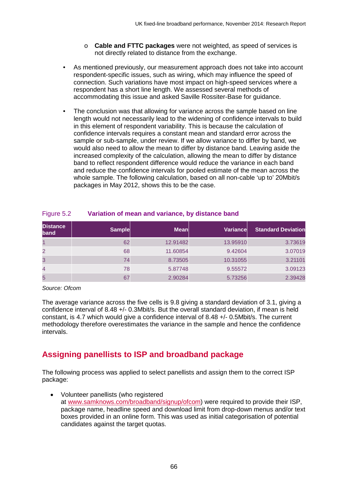- o **Cable and FTTC packages** were not weighted, as speed of services is not directly related to distance from the exchange.
- As mentioned previously, our measurement approach does not take into account respondent-specific issues, such as wiring, which may influence the speed of connection. Such variations have most impact on high-speed services where a respondent has a short line length. We assessed several methods of accommodating this issue and asked Saville Rossiter-Base for guidance.
- The conclusion was that allowing for variance across the sample based on line length would not necessarily lead to the widening of confidence intervals to build in this element of respondent variability. This is because the calculation of confidence intervals requires a constant mean and standard error across the sample or sub-sample, under review. If we allow variance to differ by band, we would also need to allow the mean to differ by distance band. Leaving aside the increased complexity of the calculation, allowing the mean to differ by distance band to reflect respondent difference would reduce the variance in each band and reduce the confidence intervals for pooled estimate of the mean across the whole sample. The following calculation, based on all non-cable 'up to' 20Mbit/s packages in May 2012, shows this to be the case.

| <b>Distance</b><br>band | <b>Sample</b> | <b>Mean</b> | Variance | <b>Standard Deviation</b> |
|-------------------------|---------------|-------------|----------|---------------------------|
|                         | 62            | 12.91482    | 13.95910 | 3.73619                   |
| $\overline{2}$          | 68            | 11.60854    | 9.42604  | 3.07019                   |
| 3                       | 74            | 8.73505     | 10.31055 | 3.21101                   |
| 4                       | 78            | 5.87748     | 9.55572  | 3.09123                   |
| 5                       | 67            | 2.90284     | 5.73256  | 2.39428                   |

### Figure 5.2 **Variation of mean and variance, by distance band**

*Source: Ofcom*

The average variance across the five cells is 9.8 giving a standard deviation of 3.1, giving a confidence interval of 8.48 +/- 0.3Mbit/s. But the overall standard deviation, if mean is held constant, is 4.7 which would give a confidence interval of 8.48 +/- 0.5Mbit/s. The current methodology therefore overestimates the variance in the sample and hence the confidence intervals.

# **Assigning panellists to ISP and broadband package**

The following process was applied to select panellists and assign them to the correct ISP package:

• Volunteer panellists (who registered at [www.samknows.com/broadband/signup/ofcom\)](http://www.samknows.com/broadband/signup/ofcom) were required to provide their ISP, package name, headline speed and download limit from drop-down menus and/or text boxes provided in an online form. This was used as initial categorisation of potential candidates against the target quotas.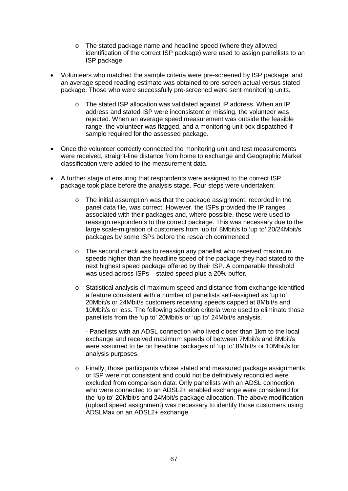- o The stated package name and headline speed (where they allowed identification of the correct ISP package) were used to assign panellists to an ISP package.
- Volunteers who matched the sample criteria were pre-screened by ISP package, and an average speed reading estimate was obtained to pre-screen actual versus stated package. Those who were successfully pre-screened were sent monitoring units.
	- o The stated ISP allocation was validated against IP address. When an IP address and stated ISP were inconsistent or missing, the volunteer was rejected. When an average speed measurement was outside the feasible range, the volunteer was flagged, and a monitoring unit box dispatched if sample required for the assessed package.
- Once the volunteer correctly connected the monitoring unit and test measurements were received, straight-line distance from home to exchange and Geographic Market classification were added to the measurement data.
- A further stage of ensuring that respondents were assigned to the correct ISP package took place before the analysis stage. Four steps were undertaken:
	- o The initial assumption was that the package assignment, recorded in the panel data file, was correct. However, the ISPs provided the IP ranges associated with their packages and, where possible, these were used to reassign respondents to the correct package. This was necessary due to the large scale-migration of customers from 'up to' 8Mbit/s to 'up to' 20/24Mbit/s packages by some ISPs before the research commenced.
	- o The second check was to reassign any panellist who received maximum speeds higher than the headline speed of the package they had stated to the next highest speed package offered by their ISP. A comparable threshold was used across ISPs – stated speed plus a 20% buffer.
	- o Statistical analysis of maximum speed and distance from exchange identified a feature consistent with a number of panellists self-assigned as 'up to' 20Mbit/s or 24Mbit/s customers receiving speeds capped at 8Mbit/s and 10Mbit/s or less. The following selection criteria were used to eliminate those panellists from the 'up to' 20Mbit/s or 'up to' 24Mbit/s analysis.

- Panellists with an ADSL connection who lived closer than 1km to the local exchange and received maximum speeds of between 7Mbit/s and 8Mbit/s were assumed to be on headline packages of 'up to' 8Mbit/s or 10Mbit/s for analysis purposes.

o Finally, those participants whose stated and measured package assignments or ISP were not consistent and could not be definitively reconciled were excluded from comparison data. Only panellists with an ADSL connection who were connected to an ADSL2+ enabled exchange were considered for the 'up to' 20Mbit/s and 24Mbit/s package allocation. The above modification (upload speed assignment) was necessary to identify those customers using ADSLMax on an ADSL2+ exchange.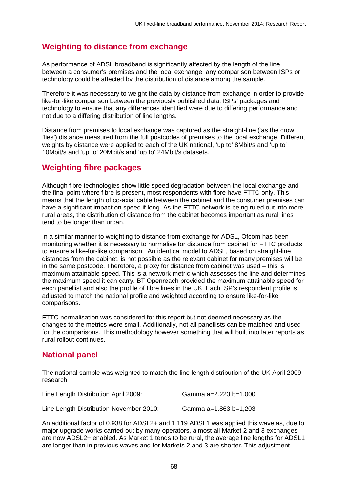# **Weighting to distance from exchange**

As performance of ADSL broadband is significantly affected by the length of the line between a consumer's premises and the local exchange, any comparison between ISPs or technology could be affected by the distribution of distance among the sample.

Therefore it was necessary to weight the data by distance from exchange in order to provide like-for-like comparison between the previously published data, ISPs' packages and technology to ensure that any differences identified were due to differing performance and not due to a differing distribution of line lengths.

Distance from premises to local exchange was captured as the straight-line ('as the crow flies') distance measured from the full postcodes of premises to the local exchange. Different weights by distance were applied to each of the UK national, 'up to' 8Mbit/s and 'up to' 10Mbit/s and 'up to' 20Mbit/s and 'up to' 24Mbit/s datasets.

# **Weighting fibre packages**

Although fibre technologies show little speed degradation between the local exchange and the final point where fibre is present, most respondents with fibre have FTTC only. This means that the length of co-axial cable between the cabinet and the consumer premises can have a significant impact on speed if long. As the FTTC network is being ruled out into more rural areas, the distribution of distance from the cabinet becomes important as rural lines tend to be longer than urban.

In a similar manner to weighting to distance from exchange for ADSL, Ofcom has been monitoring whether it is necessary to normalise for distance from cabinet for FTTC products to ensure a like-for-like comparison. An identical model to ADSL, based on straight-line distances from the cabinet, is not possible as the relevant cabinet for many premises will be in the same postcode. Therefore, a proxy for distance from cabinet was used – this is maximum attainable speed. This is a network metric which assesses the line and determines the maximum speed it can carry. BT Openreach provided the maximum attainable speed for each panellist and also the profile of fibre lines in the UK. Each ISP's respondent profile is adjusted to match the national profile and weighted according to ensure like-for-like comparisons.

FTTC normalisation was considered for this report but not deemed necessary as the changes to the metrics were small. Additionally, not all panellists can be matched and used for the comparisons. This methodology however something that will built into later reports as rural rollout continues.

# **National panel**

The national sample was weighted to match the line length distribution of the UK April 2009 research

| Line Length Distribution April 2009:    | Gamma a=2.223 b=1,000 |
|-----------------------------------------|-----------------------|
| Line Length Distribution November 2010: | Gamma a=1.863 b=1,203 |

An additional factor of 0.938 for ADSL2+ and 1.119 ADSL1 was applied this wave as, due to major upgrade works carried out by many operators, almost all Market 2 and 3 exchanges are now ADSL2+ enabled. As Market 1 tends to be rural, the average line lengths for ADSL1 are longer than in previous waves and for Markets 2 and 3 are shorter. This adjustment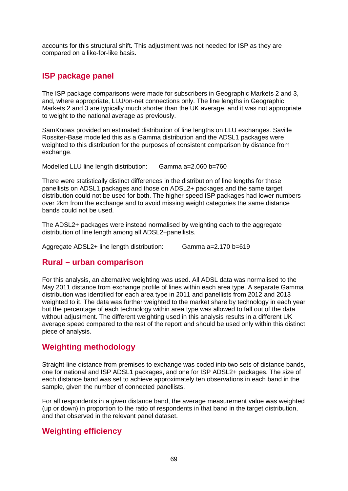accounts for this structural shift. This adjustment was not needed for ISP as they are compared on a like-for-like basis.

# **ISP package panel**

The ISP package comparisons were made for subscribers in Geographic Markets 2 and 3, and, where appropriate, LLU/on-net connections only. The line lengths in Geographic Markets 2 and 3 are typically much shorter than the UK average, and it was not appropriate to weight to the national average as previously.

SamKnows provided an estimated distribution of line lengths on LLU exchanges. Saville Rossiter-Base modelled this as a Gamma distribution and the ADSL1 packages were weighted to this distribution for the purposes of consistent comparison by distance from exchange.

Modelled LLU line length distribution: Gamma a=2.060 b=760

There were statistically distinct differences in the distribution of line lengths for those panellists on ADSL1 packages and those on ADSL2+ packages and the same target distribution could not be used for both. The higher speed ISP packages had lower numbers over 2km from the exchange and to avoid missing weight categories the same distance bands could not be used.

The ADSL2+ packages were instead normalised by weighting each to the aggregate distribution of line length among all ADSL2+panellists.

Aggregate ADSL2+ line length distribution: Gamma a=2.170 b=619

# **Rural – urban comparison**

For this analysis, an alternative weighting was used. All ADSL data was normalised to the May 2011 distance from exchange profile of lines within each area type. A separate Gamma distribution was identified for each area type in 2011 and panellists from 2012 and 2013 weighted to it. The data was further weighted to the market share by technology in each year but the percentage of each technology within area type was allowed to fall out of the data without adjustment. The different weighting used in this analysis results in a different UK average speed compared to the rest of the report and should be used only within this distinct piece of analysis.

# **Weighting methodology**

Straight-line distance from premises to exchange was coded into two sets of distance bands, one for national and ISP ADSL1 packages, and one for ISP ADSL2+ packages. The size of each distance band was set to achieve approximately ten observations in each band in the sample, given the number of connected panellists.

For all respondents in a given distance band, the average measurement value was weighted (up or down) in proportion to the ratio of respondents in that band in the target distribution, and that observed in the relevant panel dataset.

# **Weighting efficiency**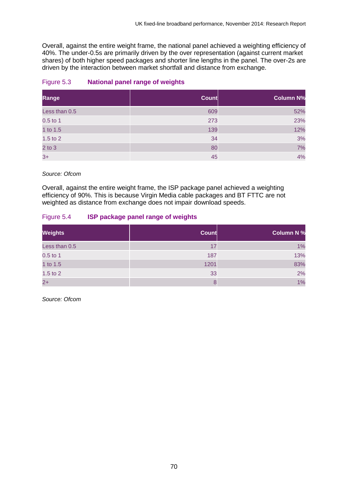Overall, against the entire weight frame, the national panel achieved a weighting efficiency of 40%. The under-0.5s are primarily driven by the over representation (against current market shares) of both higher speed packages and shorter line lengths in the panel. The over-2s are driven by the interaction between market shortfall and distance from exchange.

#### Figure 5.3 **National panel range of weights**

| Range         | <b>Count</b> | <b>Column N%</b> |
|---------------|--------------|------------------|
| Less than 0.5 | 609          | 52%              |
| $0.5$ to 1    | 273          | 23%              |
| 1 to 1.5      | 139          | 12%              |
| $1.5$ to $2$  | 34           | 3%               |
| $2$ to $3$    | 80           | 7%               |
| $3+$          | 45           | 4%               |

*Source: Ofcom*

Overall, against the entire weight frame, the ISP package panel achieved a weighting efficiency of 90%. This is because Virgin Media cable packages and BT FTTC are not weighted as distance from exchange does not impair download speeds.

#### Figure 5.4 **ISP package panel range of weights**

| <b>Weights</b> | <b>Count</b> | <b>Column N %</b> |
|----------------|--------------|-------------------|
| Less than 0.5  | 17           | 1%                |
| $0.5$ to 1     | 187          | 13%               |
| 1 to 1.5       | 1201         | 83%               |
| $1.5$ to $2$   | 33           | 2%                |
| $2+$           | 8            | 1%                |

*Source: Ofcom*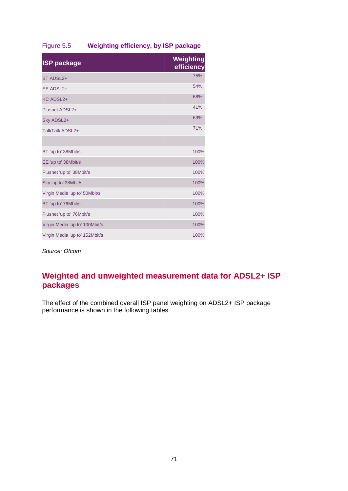## Figure 5.5 **Weighting efficiency, by ISP package**

| <b>ISP package</b>             | Weighting<br>efficiency |
|--------------------------------|-------------------------|
| BT ADSL2+                      | 75%                     |
| EE ADSL2+                      | 54%                     |
| <b>KC ADSL2+</b>               | 68%                     |
| Plusnet ADSL2+                 | 41%                     |
| Sky ADSL2+                     | 63%                     |
| TalkTalk ADSL2+                | 71%                     |
|                                |                         |
| BT 'up to' 38Mbit/s            | 100%                    |
| EE 'up to' 38Mbit/s            | 100%                    |
| Plusnet 'up to' 38Mbit/s       | 100%                    |
| Sky 'up to' 38Mbit/s           | 100%                    |
| Virgin Media 'up to' 50Mbit/s  | 100%                    |
| BT 'up to' 76Mbit/s            | 100%                    |
| Plusnet 'up to' 76Mbit/s       | 100%                    |
| Virgin Media 'up to' 100Mbit/s | 100%                    |
| Virgin Media 'up to' 152Mbit/s | 100%                    |

*Source: Ofcom*

# **Weighted and unweighted measurement data for ADSL2+ ISP packages**

The effect of the combined overall ISP panel weighting on ADSL2+ ISP package performance is shown in the following tables.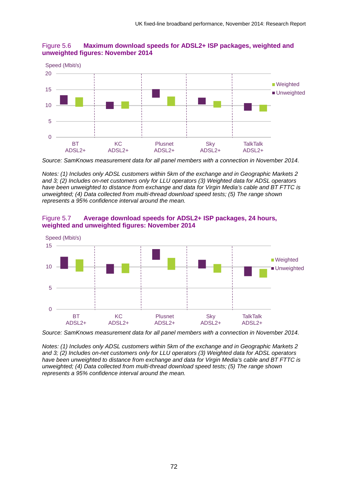

### Figure 5.6 **Maximum download speeds for ADSL2+ ISP packages, weighted and unweighted figures: November 2014**

*Notes: (1) Includes only ADSL customers within 5km of the exchange and in Geographic Markets 2 and 3; (2) Includes on-net customers only for LLU operators (3) Weighted data for ADSL operators have been unweighted to distance from exchange and data for Virgin Media's cable and BT FTTC is unweighted; (4) Data collected from multi-thread download speed tests; (5) The range shown represents a 95% confidence interval around the mean.*

### Figure 5.7 **Average download speeds for ADSL2+ ISP packages, 24 hours, weighted and unweighted figures: November 2014**



*Source: SamKnows measurement data for all panel members with a connection in November 2014.*

*Notes: (1) Includes only ADSL customers within 5km of the exchange and in Geographic Markets 2 and 3; (2) Includes on-net customers only for LLU operators (3) Weighted data for ADSL operators have been unweighted to distance from exchange and data for Virgin Media's cable and BT FTTC is unweighted; (4) Data collected from multi-thread download speed tests; (5) The range shown represents a 95% confidence interval around the mean.*

*Source: SamKnows measurement data for all panel members with a connection in November 2014.*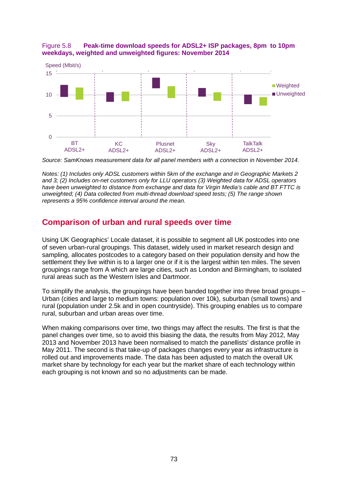



*Source: SamKnows measurement data for all panel members with a connection in November 2014.*

*Notes: (1) Includes only ADSL customers within 5km of the exchange and in Geographic Markets 2 and 3; (2) Includes on-net customers only for LLU operators (3) Weighted data for ADSL operators have been unweighted to distance from exchange and data for Virgin Media's cable and BT FTTC is unweighted; (4) Data collected from multi-thread download speed tests; (5) The range shown represents a 95% confidence interval around the mean.*

## **Comparison of urban and rural speeds over time**

Using UK Geographics' Locale dataset, it is possible to segment all UK postcodes into one of seven urban-rural groupings. This dataset, widely used in market research design and sampling, allocates postcodes to a category based on their population density and how the settlement they live within is to a larger one or if it is the largest within ten miles. The seven groupings range from A which are large cities, such as London and Birmingham, to isolated rural areas such as the Western Isles and Dartmoor.

To simplify the analysis, the groupings have been banded together into three broad groups – Urban (cities and large to medium towns: population over 10k), suburban (small towns) and rural (population under 2.5k and in open countryside). This grouping enables us to compare rural, suburban and urban areas over time.

When making comparisons over time, two things may affect the results. The first is that the panel changes over time, so to avoid this biasing the data, the results from May 2012, May 2013 and November 2013 have been normalised to match the panellists' distance profile in May 2011. The second is that take-up of packages changes every year as infrastructure is rolled out and improvements made. The data has been adjusted to match the overall UK market share by technology for each year but the market share of each technology within each grouping is not known and so no adjustments can be made.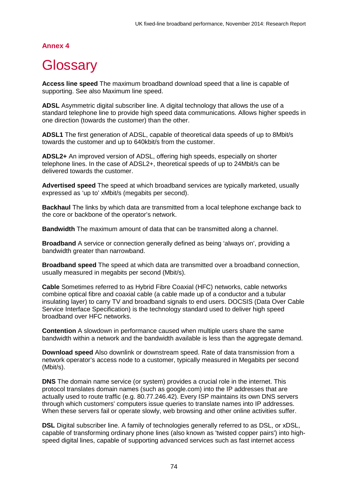## **Annex 4**

# **Glossary**

**Access line speed** The maximum broadband download speed that a line is capable of supporting. See also Maximum line speed.

**ADSL** Asymmetric digital subscriber line. A digital technology that allows the use of a standard telephone line to provide high speed data communications. Allows higher speeds in one direction (towards the customer) than the other.

**ADSL1** The first generation of ADSL, capable of theoretical data speeds of up to 8Mbit/s towards the customer and up to 640kbit/s from the customer.

**ADSL2+** An improved version of ADSL, offering high speeds, especially on shorter telephone lines. In the case of ADSL2+, theoretical speeds of up to 24Mbit/s can be delivered towards the customer.

**Advertised speed** The speed at which broadband services are typically marketed, usually expressed as 'up to' xMbit/s (megabits per second).

**Backhaul** The links by which data are transmitted from a local telephone exchange back to the core or backbone of the operator's network.

**Bandwidth** The maximum amount of data that can be transmitted along a channel.

**Broadband** A service or connection generally defined as being 'always on', providing a bandwidth greater than narrowband.

**Broadband speed** The speed at which data are transmitted over a broadband connection, usually measured in megabits per second (Mbit/s).

**Cable** Sometimes referred to as Hybrid Fibre Coaxial (HFC) networks, cable networks combine optical fibre and coaxial cable (a cable made up of a conductor and a tubular insulating layer) to carry TV and broadband signals to end users. DOCSIS (Data Over Cable Service Interface Specification) is the technology standard used to deliver high speed broadband over HFC networks.

**Contention** A slowdown in performance caused when multiple users share the same bandwidth within a network and the bandwidth available is less than the aggregate demand.

**Download speed** Also downlink or downstream speed. Rate of data transmission from a network operator's access node to a customer, typically measured in Megabits per second (Mbit/s).

**DNS** The domain name service (or system) provides a crucial role in the internet. This protocol translates domain names (such as google.com) into the IP addresses that are actually used to route traffic (e.g. 80.77.246.42). Every ISP maintains its own DNS servers through which customers' computers issue queries to translate names into IP addresses. When these servers fail or operate slowly, web browsing and other online activities suffer.

**DSL** Digital subscriber line. A family of technologies generally referred to as DSL, or xDSL, capable of transforming ordinary phone lines (also known as 'twisted copper pairs') into highspeed digital lines, capable of supporting advanced services such as fast internet access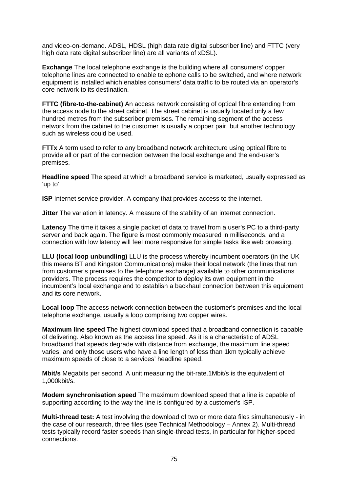and video-on-demand. ADSL, HDSL (high data rate digital subscriber line) and FTTC (very high data rate digital subscriber line) are all variants of xDSL).

**Exchange** The local telephone exchange is the building where all consumers' copper telephone lines are connected to enable telephone calls to be switched, and where network equipment is installed which enables consumers' data traffic to be routed via an operator's core network to its destination.

**FTTC (fibre-to-the-cabinet)** An access network consisting of optical fibre extending from the access node to the street cabinet. The street cabinet is usually located only a few hundred metres from the subscriber premises. The remaining segment of the access network from the cabinet to the customer is usually a copper pair, but another technology such as wireless could be used.

**FTTx** A term used to refer to any broadband network architecture using optical fibre to provide all or part of the connection between the local exchange and the end-user's premises.

**Headline speed** The speed at which a broadband service is marketed, usually expressed as 'up to'

**ISP** Internet service provider. A company that provides access to the internet.

**Jitter** The variation in latency. A measure of the stability of an internet connection.

**Latency** The time it takes a single packet of data to travel from a user's PC to a third-party server and back again. The figure is most commonly measured in milliseconds, and a connection with low latency will feel more responsive for simple tasks like web browsing.

**LLU (local loop unbundling)** LLU is the process whereby incumbent operators (in the UK this means BT and Kingston Communications) make their local network (the lines that run from customer's premises to the telephone exchange) available to other communications providers. The process requires the competitor to deploy its own equipment in the incumbent's local exchange and to establish a backhaul connection between this equipment and its core network.

**Local loop** The access network connection between the customer's premises and the local telephone exchange, usually a loop comprising two copper wires.

**Maximum line speed** The highest download speed that a broadband connection is capable of delivering. Also known as the access line speed. As it is a characteristic of ADSL broadband that speeds degrade with distance from exchange, the maximum line speed varies, and only those users who have a line length of less than 1km typically achieve maximum speeds of close to a services' headline speed.

**Mbit/s** Megabits per second. A unit measuring the bit-rate.1Mbit/s is the equivalent of 1,000kbit/s.

**Modem synchronisation speed** The maximum download speed that a line is capable of supporting according to the way the line is configured by a customer's ISP.

**Multi-thread test:** A test involving the download of two or more data files simultaneously - in the case of our research, three files (see Technical Methodology – Annex 2). Multi-thread tests typically record faster speeds than single-thread tests, in particular for higher-speed connections.